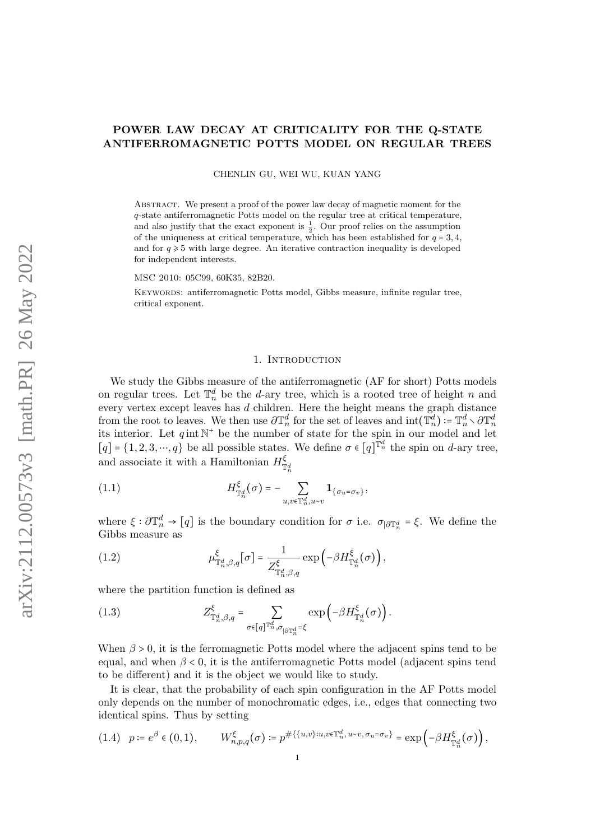# <span id="page-0-2"></span>POWER LAW DECAY AT CRITICALITY FOR THE Q-STATE ANTIFERROMAGNETIC POTTS MODEL ON REGULAR TREES

CHENLIN GU, WEI WU, KUAN YANG

Abstract. We present a proof of the power law decay of magnetic moment for the q-state antiferromagnetic Potts model on the regular tree at critical temperature, and also justify that the exact exponent is  $\frac{1}{2}$ . Our proof relies on the assumption of the uniqueness at critical temperature, which has been established for  $q = 3, 4$ , and for  $q \ge 5$  with large degree. An iterative contraction inequality is developed for independent interests.

MSC 2010: 05C99, 60K35, 82B20.

KEYWORDS: antiferromagnetic Potts model, Gibbs measure, infinite regular tree, critical exponent.

#### 1. INTRODUCTION

We study the Gibbs measure of the antiferromagnetic (AF for short) Potts models on regular trees. Let  $\mathbb{T}_n^d$  be the *d*-ary tree, which is a rooted tree of height *n* and every vertex except leaves has d children. Here the height means the graph distance from the root to leaves. We then use  $\partial \mathbb{T}_n^d$  for the set of leaves and  $\text{int}(\mathbb{T}_n^d) := \mathbb{T}_n^d \setminus \partial \mathbb{T}_n^d$ its interior. Let  $q \text{ int } \mathbb{N}^+$  be the number of state for the spin in our model and let  $[q] = \{1, 2, 3, \cdots, q\}$  be all possible states. We define  $\sigma \in [q]^{\mathbb{T}_n^d}$  the spin on d-ary tree, and associate it with a Hamiltonian  $H_{\pi}^{\xi}$  $\mathbb{T}_n^d$ 

(1.1) 
$$
H_{\mathbb{T}_n^d}^{\xi}(\sigma) = - \sum_{u,v \in \mathbb{T}_n^d, u \sim v} \mathbf{1}_{\{\sigma_u = \sigma_v\}},
$$

where  $\xi : \partial \mathbb{T}_n^d \to [q]$  is the boundary condition for  $\sigma$  i.e.  $\sigma_{|\partial \mathbb{T}_n^d} = \xi$ . We define the Gibbs measure as

(1.2) 
$$
\mu_{\mathbb{T}_n^d, \beta, q}^{\xi} [\sigma] = \frac{1}{Z_{\mathbb{T}_n^d, \beta, q}^{\xi}} \exp \left( -\beta H_{\mathbb{T}_n^d}^{\xi} (\sigma) \right),
$$

where the partition function is defined as

<span id="page-0-1"></span>(1.3) 
$$
Z^{\xi}_{\mathbb{T}_{n}^{d},\beta,q} = \sum_{\sigma \in [q]^{\mathbb{T}_{n}^{d}}, \sigma_{|\partial \mathbb{T}_{n}^{d}} = \xi} \exp \left( -\beta H^{\xi}_{\mathbb{T}_{n}^{d}}(\sigma) \right).
$$

When  $\beta > 0$ , it is the ferromagnetic Potts model where the adjacent spins tend to be equal, and when  $\beta < 0$ , it is the antiferromagnetic Potts model (adjacent spins tend to be different) and it is the object we would like to study.

It is clear, that the probability of each spin configuration in the AF Potts model only depends on the number of monochromatic edges, i.e., edges that connecting two identical spins. Thus by setting

<span id="page-0-0"></span>
$$
(1.4) \quad p := e^{\beta} \in (0,1), \qquad W_{n,p,q}^{\xi}(\sigma) := p^{\#\{\{u,v\}:u,v \in \mathbb{T}_n^d, u \sim v, \sigma u = \sigma v\}} = \exp\left(-\beta H_{\mathbb{T}_n^d}^{\xi}(\sigma)\right),
$$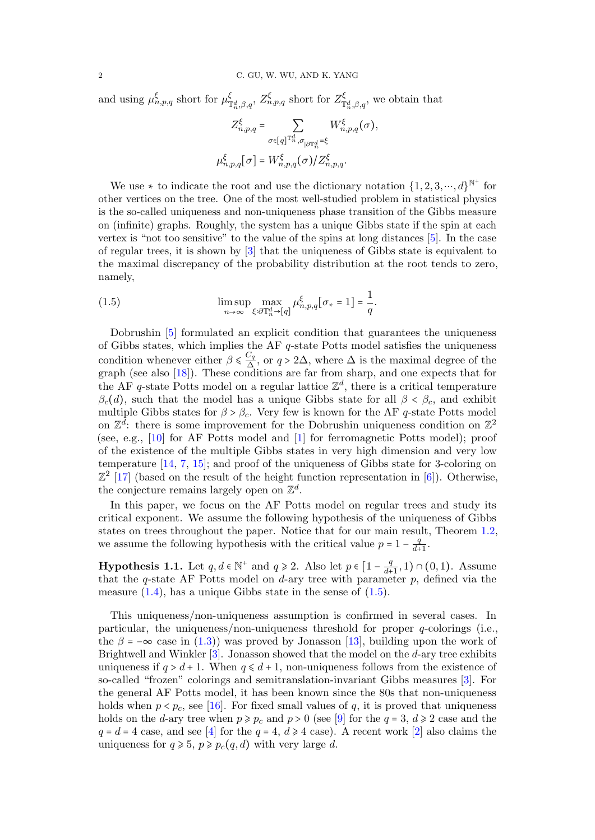and using  $\mu_{n,p,q}^{\xi}$  short for  $\mu_{\eta}^{\xi}$  $\zeta^{\xi}_{\mathbb{T}_{n}^{d},\beta,q}$ ,  $Z^{\xi}_{n,p,q}$  short for  $Z^{\xi}_{\mathbb{T}}$  $\mathcal{L}_{\mathbb{T}_n^d,\beta,q}^{\zeta}$ , we obtain that

$$
Z_{n,p,q}^{\xi} = \sum_{\sigma \in [q]^{\mathbb{T}_n^d}, \sigma_{|\partial \mathbb{T}_n^d} = \xi} W_{n,p,q}^{\xi}(\sigma),
$$
  

$$
\mu_{n,p,q}^{\xi}[\sigma] = W_{n,p,q}^{\xi}(\sigma) / Z_{n,p,q}^{\xi}.
$$

We use  $*$  to indicate the root and use the dictionary notation  $\{1, 2, 3, \dots, d\}^{\mathbb{N}^+}$  for other vertices on the tree. One of the most well-studied problem in statistical physics is the so-called uniqueness and non-uniqueness phase transition of the Gibbs measure on (infinite) graphs. Roughly, the system has a unique Gibbs state if the spin at each vertex is "not too sensitive" to the value of the spins at long distances [\[5\]](#page-21-0). In the case of regular trees, it is shown by [\[3\]](#page-21-1) that the uniqueness of Gibbs state is equivalent to the maximal discrepancy of the probability distribution at the root tends to zero, namely,

<span id="page-1-0"></span>(1.5) 
$$
\limsup_{n \to \infty} \max_{\xi: \partial \mathbb{T}_n^d \to [q]} \mu_{n,p,q}^{\xi} [\sigma_* = 1] = \frac{1}{q}.
$$

Dobrushin [\[5\]](#page-21-0) formulated an explicit condition that guarantees the uniqueness of Gibbs states, which implies the AF q-state Potts model satisfies the uniqueness condition whenever either  $\beta \leq \frac{C_q}{\Delta}$ condition whenever either  $\beta \leq \frac{Cq}{\Delta}$ , or  $q > 2\Delta$ , where  $\Delta$  is the maximal degree of the graph (see also [\[18\]](#page-21-2)). These conditions are far from sharp, and one expects that for the AF q-state Potts model on a regular lattice  $\mathbb{Z}^d$ , there is a critical temperature  $\beta_c(d)$ , such that the model has a unique Gibbs state for all  $\beta < \beta_c$ , and exhibit multiple Gibbs states for  $\beta > \beta_c$ . Very few is known for the AF q-state Potts model on  $\mathbb{Z}^{\bar{d}}$ : there is some improvement for the Dobrushin uniqueness condition on  $\mathbb{Z}^2$ (see, e.g., [\[10\]](#page-21-3) for AF Potts model and [\[1\]](#page-21-4) for ferromagnetic Potts model); proof of the existence of the multiple Gibbs states in very high dimension and very low temperature [\[14,](#page-21-5) [7,](#page-21-6) [15\]](#page-21-7); and proof of the uniqueness of Gibbs state for 3-coloring on  $\mathbb{Z}^2$  [\[17\]](#page-21-8) (based on the result of the height function representation in [\[6\]](#page-21-9)). Otherwise, the conjecture remains largely open on  $\mathbb{Z}^d$ .

In this paper, we focus on the AF Potts model on regular trees and study its critical exponent. We assume the following hypothesis of the uniqueness of Gibbs states on trees throughout the paper. Notice that for our main result, Theorem [1.2,](#page-2-0) we assume the following hypothesis with the critical value  $p = 1 - \frac{q}{d+1}$  $rac{q}{d+1}$ .

<span id="page-1-1"></span>**Hypothesis 1.1.** Let  $q, d \in \mathbb{N}^+$  and  $q \ge 2$ . Also let  $p \in \left[1 - \frac{q}{d+1}\right]$  $\frac{q}{d+1}, 1) \cap (0,1)$ . Assume that the q-state AF Potts model on  $d$ -ary tree with parameter p, defined via the measure  $(1.4)$ , has a unique Gibbs state in the sense of  $(1.5)$ .

This uniqueness/non-uniqueness assumption is confirmed in several cases. In particular, the uniqueness/non-uniqueness threshold for proper  $q$ -colorings (i.e., the  $\beta = -\infty$  case in [\(1.3\)](#page-0-1)) was proved by Jonasson [\[13\]](#page-21-10), building upon the work of Brightwell and Winkler [\[3\]](#page-21-1). Jonasson showed that the model on the d-ary tree exhibits uniqueness if  $q > d + 1$ . When  $q \le d + 1$ , non-uniqueness follows from the existence of so-called "frozen" colorings and semitranslation-invariant Gibbs measures [\[3\]](#page-21-1). For the general AF Potts model, it has been known since the 80s that non-uniqueness holds when  $p < p_c$ , see [\[16\]](#page-21-11). For fixed small values of q, it is proved that uniqueness holds on the d-ary tree when  $p \geqslant p_c$  and  $p > 0$  (see [\[9\]](#page-21-12) for the  $q = 3, d \geqslant 2$  case and the  $q = d = 4$  case, and see [\[4\]](#page-21-13) for the  $q = 4$ ,  $d \ge 4$  case). A recent work [\[2\]](#page-21-14) also claims the uniqueness for  $q \geq 5$ ,  $p \geq p_c(q, d)$  with very large d.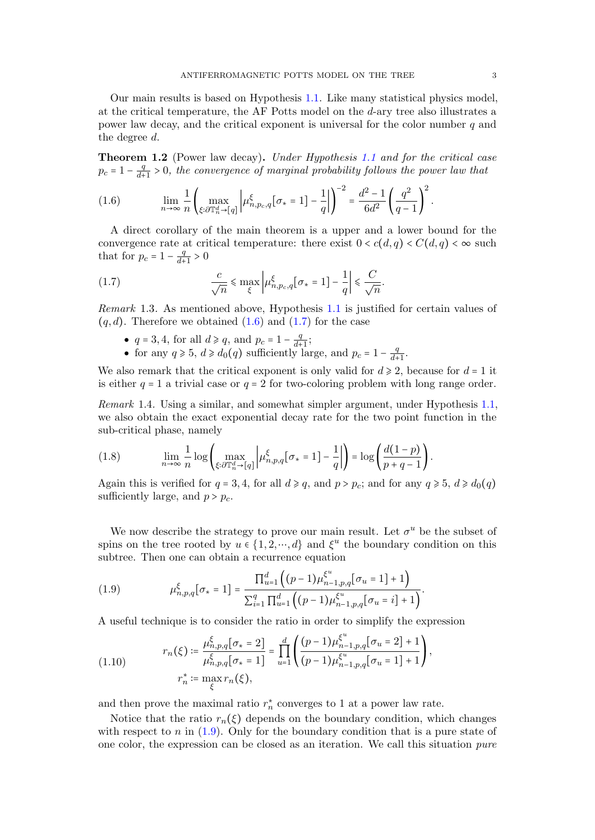Our main results is based on Hypothesis [1.1.](#page-1-1) Like many statistical physics model, at the critical temperature, the AF Potts model on the d-ary tree also illustrates a power law decay, and the critical exponent is universal for the color number  $q$  and the degree d.

<span id="page-2-0"></span>Theorem 1.2 (Power law decay). Under Hypothesis [1.1](#page-1-1) and for the critical case  $p_c = 1 - \frac{q}{d}$  $\frac{q}{d+1} > 0$ , the convergence of marginal probability follows the power law that

<span id="page-2-1"></span>
$$
(1.6) \qquad \lim_{n\to\infty}\frac{1}{n}\left(\max_{\xi:\partial\mathbb{T}_n^d\to[q]}\left|\mu_{n,p_c,q}^{\xi}\left[\sigma_*=1\right]-\frac{1}{q}\right|\right)^{-2}=\frac{d^2-1}{6d^2}\left(\frac{q^2}{q-1}\right)^2.
$$

A direct corollary of the main theorem is a upper and a lower bound for the convergence rate at critical temperature: there exist  $0 < c(d, q) < C(d, q) < \infty$  such that for  $p_c = 1 - \frac{q}{d+1}$  $\frac{q}{d+1} > 0$ 

<span id="page-2-2"></span>(1.7) 
$$
\frac{c}{\sqrt{n}} \leq \max_{\xi} \left| \mu_{n, p_c, q}^{\xi} [\sigma_* = 1] - \frac{1}{q} \right| \leq \frac{C}{\sqrt{n}}.
$$

Remark 1.3. As mentioned above, Hypothesis [1.1](#page-1-1) is justified for certain values of  $(q, d)$ . Therefore we obtained  $(1.6)$  and  $(1.7)$  for the case

- $q = 3, 4$ , for all  $d \ge q$ , and  $p_c = 1 \frac{q}{d+1}$  $\frac{q}{d+1};$
- for any  $q \ge 5$ ,  $d \ge d_0(q)$  sufficiently large, and  $p_c = 1 \frac{q}{d+1}$  $rac{q}{d+1}$ .

We also remark that the critical exponent is only valid for  $d \geq 2$ , because for  $d = 1$  it is either  $q = 1$  a trivial case or  $q = 2$  for two-coloring problem with long range order.

Remark 1.4. Using a similar, and somewhat simpler argument, under Hypothesis [1.1,](#page-1-1) we also obtain the exact exponential decay rate for the two point function in the sub-critical phase, namely

(1.8) 
$$
\lim_{n \to \infty} \frac{1}{n} \log \left( \max_{\xi: \partial \mathbb{T}_n^d \to [q]} \left| \mu_{n,p,q}^{\xi} [\sigma_* = 1] - \frac{1}{q} \right| \right) = \log \left( \frac{d(1-p)}{p+q-1} \right).
$$

Again this is verified for  $q = 3, 4$ , for all  $d \geq q$ , and  $p > p_c$ ; and for any  $q \geq 5$ ,  $d \geq d_0(q)$ sufficiently large, and  $p > p_c$ .

We now describe the strategy to prove our main result. Let  $\sigma^u$  be the subset of spins on the tree rooted by  $u \in \{1, 2, \dots, d\}$  and  $\xi^u$  the boundary condition on this<br>subtree. Then are can obtain a requirement container subtree. Then one can obtain a recurrence equation

<span id="page-2-3"></span>(1.9) 
$$
\mu_{n,p,q}^{\xi}[\sigma_{*}=1] = \frac{\prod_{u=1}^{d} ((p-1)\mu_{n-1,p,q}^{\xi^{u}}[\sigma_{u}=1]+1)}{\sum_{i=1}^{q} \prod_{u=1}^{d} ((p-1)\mu_{n-1,p,q}^{\xi^{u}}[\sigma_{u}=i]+1)}.
$$

A useful technique is to consider the ratio in order to simplify the expression

<span id="page-2-4"></span>(1.10) 
$$
r_n(\xi) := \frac{\mu_{n,p,q}^{\xi}[\sigma_* = 2]}{\mu_{n,p,q}^{\xi}[\sigma_* = 1]} = \prod_{u=1}^d \left( \frac{(p-1)\mu_{n-1,p,q}^{\xi^u}[\sigma_u = 2] + 1}{(p-1)\mu_{n-1,p,q}^{\xi^u}[\sigma_u = 1] + 1} \right),
$$

$$
r_n^* := \max_{\xi} r_n(\xi),
$$

and then prove the maximal ratio  $r_n^*$  converges to 1 at a power law rate.

Notice that the ratio  $r_n(\xi)$  depends on the boundary condition, which changes with respect to  $n$  in [\(1.9\)](#page-2-3). Only for the boundary condition that is a pure state of one color, the expression can be closed as an iteration. We call this situation pure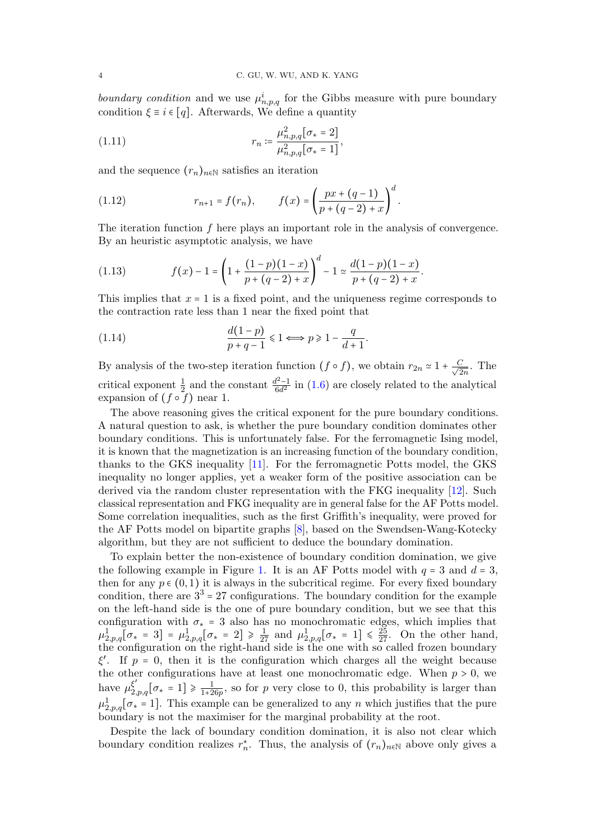boundary condition and we use  $\mu_{n,p,q}^i$  for the Gibbs measure with pure boundary condition  $\xi \equiv i \in [q]$ . Afterwards, We define a quantity

(1.11) 
$$
r_n \coloneqq \frac{\mu_{n,p,q}^2[\sigma_* = 2]}{\mu_{n,p,q}^2[\sigma_* = 1]},
$$

and the sequence  $(r_n)_{n\in\mathbb{N}}$  satisfies an iteration

<span id="page-3-0"></span>(1.12) 
$$
r_{n+1} = f(r_n), \qquad f(x) = \left(\frac{px + (q-1)}{p + (q-2) + x}\right)^d.
$$

The iteration function  $f$  here plays an important role in the analysis of convergence. By an heuristic asymptotic analysis, we have

(1.13) 
$$
f(x) - 1 = \left(1 + \frac{(1-p)(1-x)}{p+(q-2)+x}\right)^d - 1 \simeq \frac{d(1-p)(1-x)}{p+(q-2)+x}.
$$

This implies that  $x = 1$  is a fixed point, and the uniqueness regime corresponds to the contraction rate less than 1 near the fixed point that

(1.14) 
$$
\frac{d(1-p)}{p+q-1} \leq 1 \Longleftrightarrow p \geq 1 - \frac{q}{d+1}.
$$

By analysis of the two-step iteration function  $(f \circ f)$ , we obtain  $r_{2n} \approx 1 + \frac{C}{\sqrt{2}}$  $\frac{1}{2n}$ . The critical exponent  $\frac{1}{2}$  and the constant  $\frac{d^2-1}{6d^2}$  in [\(1.6\)](#page-2-1) are closely related to the analytical expansion of  $(f \circ f)$  near 1.

The above reasoning gives the critical exponent for the pure boundary conditions. A natural question to ask, is whether the pure boundary condition dominates other boundary conditions. This is unfortunately false. For the ferromagnetic Ising model, it is known that the magnetization is an increasing function of the boundary condition, thanks to the GKS inequality [\[11\]](#page-21-15). For the ferromagnetic Potts model, the GKS inequality no longer applies, yet a weaker form of the positive association can be derived via the random cluster representation with the FKG inequality [\[12\]](#page-21-16). Such classical representation and FKG inequality are in general false for the AF Potts model. Some correlation inequalities, such as the first Griffith's inequality, were proved for the AF Potts model on bipartite graphs [\[8\]](#page-21-17), based on the Swendsen-Wang-Kotecky algorithm, but they are not sufficient to deduce the boundary domination.

To explain better the non-existence of boundary condition domination, we give the following example in Figure [1.](#page-4-0) It is an AF Potts model with  $q = 3$  and  $d = 3$ , then for any  $p \in (0, 1)$  it is always in the subcritical regime. For every fixed boundary condition, there are  $3<sup>3</sup> = 27$  configurations. The boundary condition for the example on the left-hand side is the one of pure boundary condition, but we see that this configuration with  $\sigma_* = 3$  also has no monochromatic edges, which implies that  $\mu_{2,p,q}^1[\sigma_* = 3] = \mu_{2,p,q}^1[\sigma_* = 2] \ge \frac{1}{27}$  and  $\mu_{2,p,q}^1[\sigma_* = 1] \le \frac{25}{27}$ . On the other hand, the proportion is the sight hand side is the configuration on the right-hand side is the one with so called frozen boundary ξ'. If  $p = 0$ , then it is the configuration which charges all the weight because the other configurations have at least one monochromatic edge. When  $p > 0$ , we have  $\mu_{2,p,q}^{\xi'}[\sigma_* = 1] \ge \frac{1}{1+2}$  $\frac{1}{1+26p}$ , so for p very close to 0, this probability is larger than  $\mu_{2,p,q}^1[\sigma_{*}=1]$ . This example can be generalized to any *n* which justifies that the pure boundary is not the maximiser for the marginal probability at the root.

Despite the lack of boundary condition domination, it is also not clear which boundary condition realizes  $r_n^*$ . Thus, the analysis of  $(r_n)_{n \in \mathbb{N}}$  above only gives a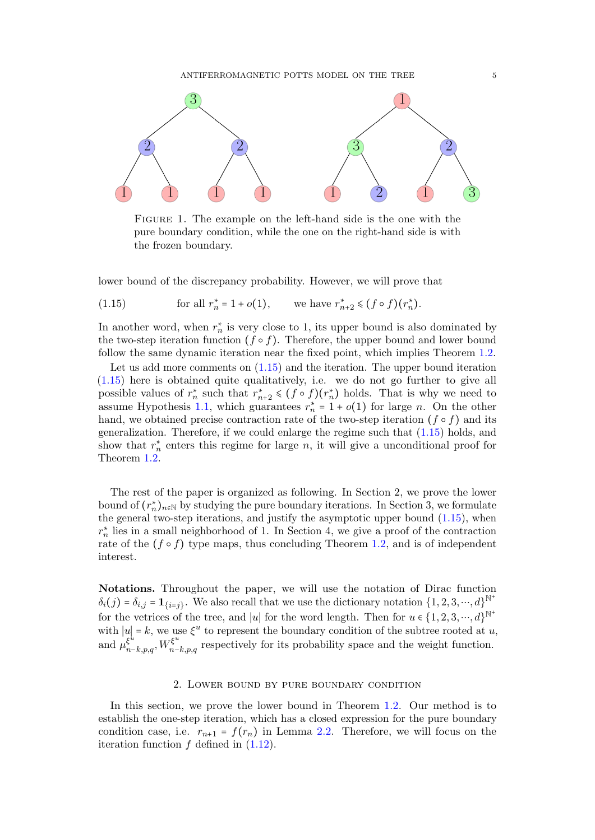

<span id="page-4-0"></span>Figure 1. The example on the left-hand side is the one with the pure boundary condition, while the one on the right-hand side is with the frozen boundary.

lower bound of the discrepancy probability. However, we will prove that

<span id="page-4-1"></span>(1.15) for all 
$$
r_n^* = 1 + o(1)
$$
, we have  $r_{n+2}^* \le (f \circ f)(r_n^*)$ .

In another word, when  $r_n^*$  is very close to 1, its upper bound is also dominated by the two-step iteration function  $(f \circ f)$ . Therefore, the upper bound and lower bound follow the same dynamic iteration near the fixed point, which implies Theorem [1.2.](#page-2-0)

Let us add more comments on  $(1.15)$  and the iteration. The upper bound iteration [\(1.15\)](#page-4-1) here is obtained quite qualitatively, i.e. we do not go further to give all possible values of  $r_n^*$  such that  $r_{n+2}^* \leq (f \circ f)(r_n^*)$  holds. That is why we need to assume Hypothesis [1.1,](#page-1-1) which guarantees  $r_n^* = 1 + o(1)$  for large n. On the other hand, we obtained precise contraction rate of the two-step iteration ( $f \circ f$ ) and its generalization. Therefore, if we could enlarge the regime such that [\(1.15\)](#page-4-1) holds, and show that  $r_n^*$  enters this regime for large n, it will give a unconditional proof for Theorem [1.2.](#page-2-0)

The rest of the paper is organized as following. In Section 2, we prove the lower bound of  $(r_n^*)_{n \in \mathbb{N}}$  by studying the pure boundary iterations. In Section 3, we formulate the general two-step iterations, and justify the asymptotic upper bound [\(1.15\)](#page-4-1), when  $r_n^*$  lies in a small neighborhood of 1. In Section 4, we give a proof of the contraction rate of the  $(f \circ f)$  type maps, thus concluding Theorem [1.2,](#page-2-0) and is of independent interest.

Notations. Throughout the paper, we will use the notation of Dirac function  $\delta_i(j) = \delta_{i,j} = \mathbf{1}_{\{i=j\}}$ . We also recall that we use the dictionary notation  $\{1, 2, 3, \cdots, d\}^{\mathbb{N}^+}$ for the vetrices of the tree, and |u| for the word length. Then for  $u \in \{1, 2, 3, \dots, d\}^{\mathbb{N}^+}$ with  $|u| = k$ , we use  $\xi^u$  to represent the boundary condition of the subtree rooted at u, and  $\mu_{n-k,p,q}^{\xi^u}, W_{n-k,p,q}^{\xi^u}$  respectively for its probability space and the weight function.

## 2. Lower bound by pure boundary condition

In this section, we prove the lower bound in Theorem [1.2.](#page-2-0) Our method is to establish the one-step iteration, which has a closed expression for the pure boundary condition case, i.e.  $r_{n+1} = f(r_n)$  in Lemma [2.2.](#page-5-0) Therefore, we will focus on the iteration function  $f$  defined in  $(1.12)$ .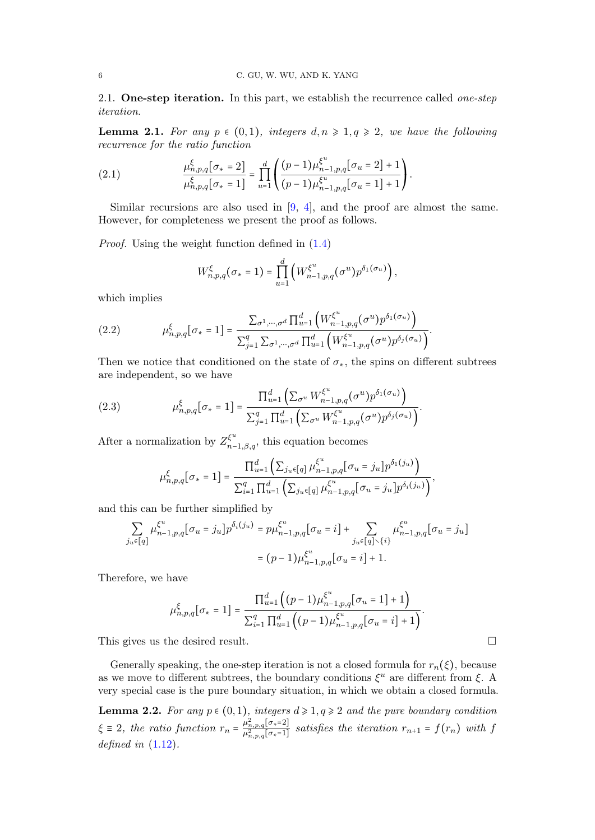2.1. One-step iteration. In this part, we establish the recurrence called *one-step* iteration.

<span id="page-5-2"></span>**Lemma 2.1.** For any  $p \in (0,1)$ , integers  $d, n \geq 1, q \geq 2$ , we have the following recurrence for the ratio function

<span id="page-5-1"></span>(2.1) 
$$
\frac{\mu_{n,p,q}^{\xi}[\sigma_{*}=2]}{\mu_{n,p,q}^{\xi}[\sigma_{*}=1]} = \prod_{u=1}^{d} \left( \frac{(p-1)\mu_{n-1,p,q}^{\xi^{u}}[\sigma_{u}=2]+1}{(p-1)\mu_{n-1,p,q}^{\xi^{u}}[\sigma_{u}=1]+1} \right).
$$

Similar recursions are also used in [\[9,](#page-21-12) [4\]](#page-21-13), and the proof are almost the same. However, for completeness we present the proof as follows.

Proof. Using the weight function defined in [\(1.4\)](#page-0-0)

$$
W_{n,p,q}^{\xi}(\sigma_{*}=1)=\prod_{u=1}^{d}\left(W_{n-1,p,q}^{\xi^{u}}(\sigma^{u})p^{\delta_{1}(\sigma_{u})}\right),
$$

which implies

(2.2) 
$$
\mu_{n,p,q}^{\xi}[\sigma_{*}=1] = \frac{\sum_{\sigma^{1},\cdots,\sigma^{d}} \prod_{u=1}^{d} (W_{n-1,p,q}^{\xi^{u}}(\sigma^{u}) p^{\delta_{1}(\sigma_{u})})}{\sum_{j=1}^{q} \sum_{\sigma^{1},\cdots,\sigma^{d}} \prod_{u=1}^{d} (W_{n-1,p,q}^{\xi^{u}}(\sigma^{u}) p^{\delta_{j}(\sigma_{u})}).
$$

Then we notice that conditioned on the state of  $\sigma_{*}$ , the spins on different subtrees are independent, so we have

<span id="page-5-3"></span>(2.3) 
$$
\mu_{n,p,q}^{\xi}[\sigma_{*}=1] = \frac{\prod_{u=1}^{d} (\sum_{\sigma^{u}} W_{n-1,p,q}^{\xi^{u}}(\sigma^{u}) p^{\delta_{1}(\sigma_{u})})}{\sum_{j=1}^{q} \prod_{u=1}^{d} (\sum_{\sigma^{u}} W_{n-1,p,q}^{\xi^{u}}(\sigma^{u}) p^{\delta_{j}(\sigma_{u})})}.
$$

After a normalization by  $Z_{n-1,\beta,q}^{\xi^u}$ , this equation becomes

$$
\mu_{n,p,q}^{\xi}[\sigma_{*} = 1] = \frac{\prod_{u=1}^{d} \left( \sum_{j_{u} \in [q]} \mu_{n-1,p,q}^{\xi^{u}} [\sigma_{u} = j_{u}] p^{\delta_{1}(j_{u})} \right)}{\sum_{i=1}^{q} \prod_{u=1}^{d} \left( \sum_{j_{u} \in [q]} \mu_{n-1,p,q}^{\xi^{u}} [\sigma_{u} = j_{u}] p^{\delta_{i}(j_{u})} \right)},
$$

and this can be further simplified by

$$
\sum_{j_u \in [q]} \mu_{n-1, p, q}^{\xi^u} [\sigma_u = j_u] p^{\delta_i(j_u)} = p \mu_{n-1, p, q}^{\xi^u} [\sigma_u = i] + \sum_{j_u \in [q] \setminus \{i\}} \mu_{n-1, p, q}^{\xi^u} [\sigma_u = j_u]
$$

$$
= (p-1) \mu_{n-1, p, q}^{\xi^u} [\sigma_u = i] + 1.
$$

Therefore, we have

$$
\mu_{n,p,q}^{\xi}[\sigma_* = 1] = \frac{\prod_{u=1}^d ((p-1)\mu_{n-1,p,q}^{\xi^u}[\sigma_u = 1] + 1)}{\sum_{i=1}^q \prod_{u=1}^d ((p-1)\mu_{n-1,p,q}^{\xi^u}[\sigma_u = i] + 1)}.
$$

This gives us the desired result.

Generally speaking, the one-step iteration is not a closed formula for  $r_n(\xi)$ , because as we move to different subtrees, the boundary conditions  $\xi^u$  are different from  $\xi$ . A very special case is the pure boundary situation, in which we obtain a closed formula.

<span id="page-5-0"></span>**Lemma 2.2.** For any  $p \in (0,1)$ , integers  $d \ge 1, q \ge 2$  and the pure boundary condition  $\xi \equiv 2$ , the ratio function  $r_n = \frac{\mu_{n,p,q}^2[\sigma_* = 2]}{\mu_{n,p,q}^2[\sigma_* = 1]}$  satisfies the iteration  $r_{n+1} = f(r_n)$  with f defined in  $(1.12)$ .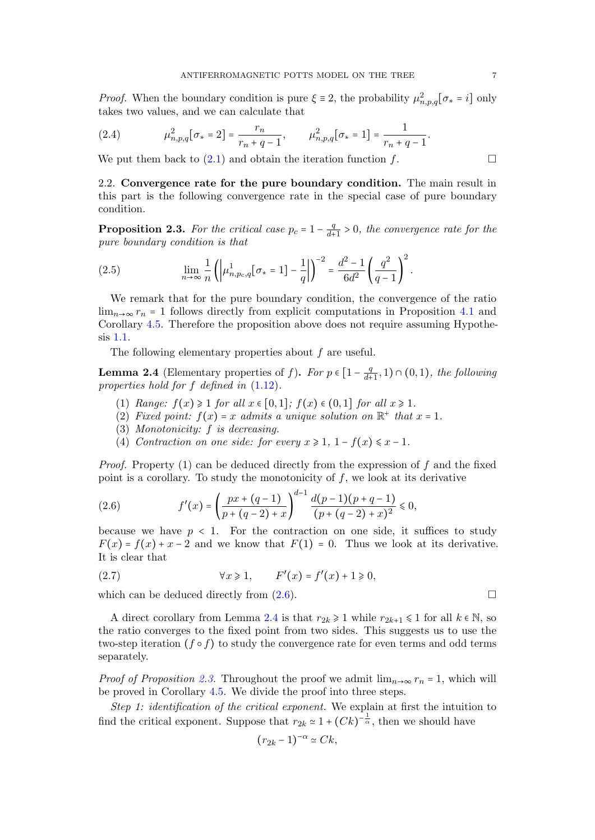*Proof.* When the boundary condition is pure  $\xi \equiv 2$ , the probability  $\mu_{n,p,q}^2[\sigma_* = i]$  only takes two values and we can calculate that takes two values, and we can calculate that

<span id="page-6-4"></span>(2.4) 
$$
\mu_{n,p,q}^2[\sigma_* = 2] = \frac{r_n}{r_n + q - 1}, \qquad \mu_{n,p,q}^2[\sigma_* = 1] = \frac{1}{r_n + q - 1}.
$$

We put them back to  $(2.1)$  and obtain the iteration function f.

2.2. Convergence rate for the pure boundary condition. The main result in this part is the following convergence rate in the special case of pure boundary condition.

<span id="page-6-2"></span>**Proposition 2.3.** For the critical case  $p_c = 1 - \frac{q}{d\tau}$  $\frac{q}{d+1} > 0$ , the convergence rate for the pure boundary condition is that

<span id="page-6-3"></span>(2.5) 
$$
\lim_{n \to \infty} \frac{1}{n} \left( \left| \mu_{n, p_c, q}^1[\sigma_* = 1] - \frac{1}{q} \right| \right)^{-2} = \frac{d^2 - 1}{6d^2} \left( \frac{q^2}{q - 1} \right)^2.
$$

We remark that for the pure boundary condition, the convergence of the ratio  $\lim_{n\to\infty} r_n = 1$  follows directly from explicit computations in Proposition [4.1](#page-15-0) and Corollary [4.5.](#page-20-0) Therefore the proposition above does not require assuming Hypothesis [1.1.](#page-1-1)

The following elementary properties about f are useful.

<span id="page-6-1"></span>**Lemma 2.4** (Elementary properties of f). For  $p \in \left[1 - \frac{q}{d^4}\right]$  $\frac{q}{d+1}, 1) \cap (0,1)$ , the following properties hold for f defined in [\(1.12\)](#page-3-0).

- (1) Range:  $f(x) \geq 1$  for all  $x \in [0,1]$ ;  $f(x) \in (0,1]$  for all  $x \geq 1$ .
- (2) Fixed point:  $f(x) = x$  admits a unique solution on  $\mathbb{R}^+$  that  $x = 1$ .
- (3) Monotonicity: f is decreasing.
- (4) Contraction on one side: for every  $x \geq 1$ ,  $1 f(x) \leq x 1$ .

*Proof.* Property (1) can be deduced directly from the expression of f and the fixed point is a corollary. To study the monotonicity of  $f$ , we look at its derivative

<span id="page-6-0"></span>(2.6) 
$$
f'(x) = \left(\frac{px + (q-1)}{p + (q-2) + x}\right)^{d-1} \frac{d(p-1)(p+q-1)}{(p + (q-2) + x)^2} \leq 0,
$$

because we have  $p < 1$ . For the contraction on one side, it suffices to study  $F(x) = f(x) + x - 2$  and we know that  $F(1) = 0$ . Thus we look at its derivative. It is clear that

(2.7) 
$$
\forall x \geq 1, \qquad F'(x) = f'(x) + 1 \geq 0,
$$

which can be deduced directly from  $(2.6)$ .

A direct corollary from Lemma [2.4](#page-6-1) is that  $r_{2k} \geq 1$  while  $r_{2k+1} \leq 1$  for all  $k \in \mathbb{N}$ , so the ratio converges to the fixed point from two sides. This suggests us to use the two-step iteration  $(f \circ f)$  to study the convergence rate for even terms and odd terms separately.

*Proof of Proposition [2.3.](#page-6-2)* Throughout the proof we admit  $\lim_{n\to\infty} r_n = 1$ , which will be proved in Corollary [4.5.](#page-20-0) We divide the proof into three steps.

Step 1: identification of the critical exponent. We explain at first the intuition to find the critical exponent. Suppose that  $r_{2k} \approx 1 + (Ck)^{-\frac{1}{\alpha}}$ , then we should have

$$
(r_{2k}-1)^{-\alpha} \simeq Ck,
$$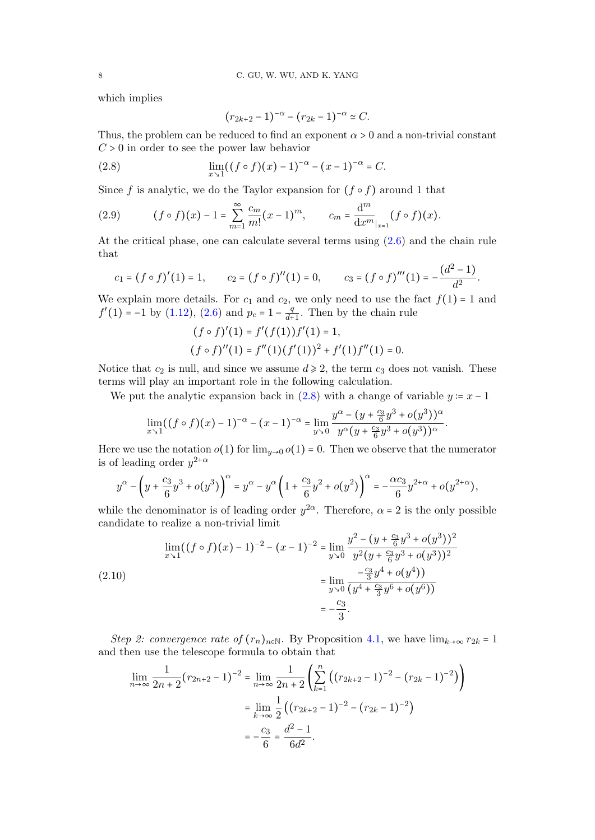which implies

$$
(r_{2k+2}-1)^{-\alpha} - (r_{2k}-1)^{-\alpha} \simeq C.
$$

Thus, the problem can be reduced to find an exponent  $\alpha > 0$  and a non-trivial constant  $C > 0$  in order to see the power law behavior

<span id="page-7-0"></span>(2.8) 
$$
\lim_{x \to 1} ((f \circ f)(x) - 1)^{-\alpha} - (x - 1)^{-\alpha} = C.
$$

Since f is analytic, we do the Taylor expansion for  $(f \circ f)$  around 1 that

(2.9) 
$$
(f \circ f)(x) - 1 = \sum_{m=1}^{\infty} \frac{c_m}{m!} (x - 1)^m, \qquad c_m = \frac{d^m}{dx^m|_{x=1}} (f \circ f)(x).
$$

At the critical phase, one can calculate several terms using [\(2.6\)](#page-6-0) and the chain rule that

$$
c_1 = (f \circ f)'(1) = 1
$$
,  $c_2 = (f \circ f)''(1) = 0$ ,  $c_3 = (f \circ f)'''(1) = -\frac{(d^2 - 1)}{d^2}$ .

We explain more details. For  $c_1$  and  $c_2$ , we only need to use the fact  $f(1) = 1$  and  $f'(1) = -1$  by [\(1.12\)](#page-3-0), [\(2.6\)](#page-6-0) and  $p_c = 1 - \frac{q}{d+1}$  $\frac{q}{d+1}$ . Then by the chain rule

$$
(f \circ f)'(1) = f'(f(1))f'(1) = 1,
$$
  
\n
$$
(f \circ f)''(1) = f''(1)(f'(1))^2 + f'(1)f''(1) = 0.
$$

Notice that  $c_2$  is null, and since we assume  $d \ge 2$ , the term  $c_3$  does not vanish. These terms will play an important role in the following calculation.

We put the analytic expansion back in  $(2.8)$  with a change of variable  $y = x - 1$ 

.

$$
\lim_{x \to 1} ((f \circ f)(x) - 1)^{-\alpha} - (x - 1)^{-\alpha} = \lim_{y \to 0} \frac{y^{\alpha} - (y + \frac{c_3}{6}y^3 + o(y^3))^{\alpha}}{y^{\alpha}(y + \frac{c_3}{6}y^3 + o(y^3))^{\alpha}}
$$

Here we use the notation  $o(1)$  for  $\lim_{y\to 0} o(1) = 0$ . Then we observe that the numerator is of leading order  $y^{2+\alpha}$ 

$$
y^{\alpha} - \left(y + \frac{c_3}{6}y^3 + o(y^3)\right)^{\alpha} = y^{\alpha} - y^{\alpha} \left(1 + \frac{c_3}{6}y^2 + o(y^2)\right)^{\alpha} = -\frac{\alpha c_3}{6}y^{2+\alpha} + o(y^{2+\alpha}),
$$

while the denominator is of leading order  $y^{2\alpha}$ . Therefore,  $\alpha = 2$  is the only possible condidate to realize a non-trivial limit. candidate to realize a non-trivial limit

<span id="page-7-1"></span>
$$
\lim_{x \to 1} ((f \circ f)(x) - 1)^{-2} - (x - 1)^{-2} = \lim_{y \to 0} \frac{y^2 - (y + \frac{c_3}{6}y^3 + o(y^3))^2}{y^2(y + \frac{c_3}{6}y^3 + o(y^3))^2}
$$
\n
$$
= \lim_{y \to 0} \frac{-\frac{c_3}{3}y^4 + o(y^4)}{(y^4 + \frac{c_3}{3}y^6 + o(y^6))}
$$
\n
$$
= -\frac{c_3}{3}.
$$

Step 2: convergence rate of  $(r_n)_{n\in\mathbb{N}}$ . By Proposition [4.1,](#page-15-0) we have  $\lim_{k\to\infty} r_{2k} = 1$ and then use the telescope formula to obtain that

$$
\lim_{n \to \infty} \frac{1}{2n+2} (r_{2n+2} - 1)^{-2} = \lim_{n \to \infty} \frac{1}{2n+2} \left( \sum_{k=1}^{n} \left( (r_{2k+2} - 1)^{-2} - (r_{2k} - 1)^{-2} \right) \right)
$$

$$
= \lim_{k \to \infty} \frac{1}{2} \left( (r_{2k+2} - 1)^{-2} - (r_{2k} - 1)^{-2} \right)
$$

$$
= -\frac{c_3}{6} = \frac{d^2 - 1}{6d^2}.
$$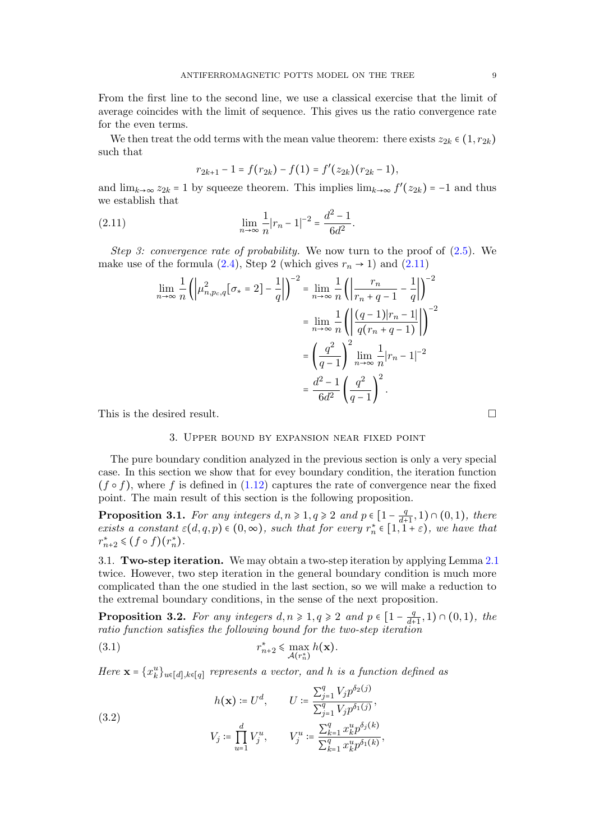From the first line to the second line, we use a classical exercise that the limit of average coincides with the limit of sequence. This gives us the ratio convergence rate for the even terms.

We then treat the odd terms with the mean value theorem: there exists  $z_{2k} \in (1, r_{2k})$ such that

$$
r_{2k+1}-1=f(r_{2k})-f(1)=f'(z_{2k})(r_{2k}-1),
$$

and  $\lim_{k\to\infty} z_{2k} = 1$  by squeeze theorem. This implies  $\lim_{k\to\infty} f'(z_{2k}) = -1$  and thus we establish that

<span id="page-8-0"></span>(2.11) 
$$
\lim_{n \to \infty} \frac{1}{n} |r_n - 1|^{-2} = \frac{d^2 - 1}{6d^2}.
$$

Step 3: convergence rate of probability. We now turn to the proof of  $(2.5)$ . We make use of the formula [\(2.4\)](#page-6-4), Step 2 (which gives  $r_n \rightarrow 1$ ) and [\(2.11\)](#page-8-0)

$$
\lim_{n \to \infty} \frac{1}{n} \left( \left| \mu_{n, p_c, q}^2 [\sigma_* = 2] - \frac{1}{q} \right| \right)^{-2} = \lim_{n \to \infty} \frac{1}{n} \left( \left| \frac{r_n}{r_n + q - 1} - \frac{1}{q} \right| \right)^{-2}
$$

$$
= \lim_{n \to \infty} \frac{1}{n} \left( \left| \frac{(q - 1)|r_n - 1|}{q(r_n + q - 1)} \right| \right)^{-2}
$$

$$
= \left( \frac{q^2}{q - 1} \right)^2 \lim_{n \to \infty} \frac{1}{n} |r_n - 1|^{-2}
$$

$$
= \frac{d^2 - 1}{6d^2} \left( \frac{q^2}{q - 1} \right)^2.
$$

This is the desired result.

# 3. Upper bound by expansion near fixed point

The pure boundary condition analyzed in the previous section is only a very special case. In this section we show that for evey boundary condition, the iteration function  $(f \circ f)$ , where f is defined in [\(1.12\)](#page-3-0) captures the rate of convergence near the fixed point. The main result of this section is the following proposition.

<span id="page-8-4"></span>**Proposition 3.1.** For any integers  $d, n \geq 1, q \geq 2$  and  $p \in \left[1 - \frac{q}{d+1}, 1\right) \cap (0, 1)$ , there **EXECUTE:** For any integers  $a, n \ge 1$ ,  $q \ge 2$  and  $p \in [1 - \frac{d+1}{d+1}, 1) \cap (0, 1)$ , there exists a constant  $\varepsilon(d, q, p) \in (0, \infty)$ , such that for every  $r_n^* \in [1, 1 + \varepsilon)$ , we have that  $r_{n+2}^* \leq (f \circ f)(r_n^*).$ 

3.1. Two-step iteration. We may obtain a two-step iteration by applying Lemma [2.1](#page-5-2) twice. However, two step iteration in the general boundary condition is much more complicated than the one studied in the last section, so we will make a reduction to the extremal boundary conditions, in the sense of the next proposition.

<span id="page-8-1"></span>**Proposition 3.2.** For any integers  $d, n \geq 1, q \geq 2$  and  $p \in \left[1 - \frac{q}{d+1}, 1\right) \cap (0, 1)$ , the **Troposition 5.2.** For any integers  $a, n \ge 1, q \ge 2$  and  $p \in [1 - \frac{d+1}{d+1}]$ <br>ratio function satisfies the following bound for the two-step iteration

<span id="page-8-3"></span>(3.1) 
$$
r_{n+2}^* \leq \max_{\mathcal{A}(r_n^*)} h(\mathbf{x}).
$$

Here  $\mathbf{x} = \{x_k^u\}_{u \in [d], k \in [q]}$  represents a vector, and h is a function defined as

<span id="page-8-2"></span>(3.2)  

$$
h(\mathbf{x}) \coloneqq U^d, \qquad U \coloneqq \frac{\sum_{j=1}^q V_j p^{\delta_2(j)}}{\sum_{j=1}^q V_j p^{\delta_1(j)}},
$$

$$
V_j \coloneqq \prod_{u=1}^d V_j^u, \qquad V_j^u \coloneqq \frac{\sum_{k=1}^q x_k^u p^{\delta_j(k)}}{\sum_{k=1}^q x_k^u p^{\delta_1(k)}},
$$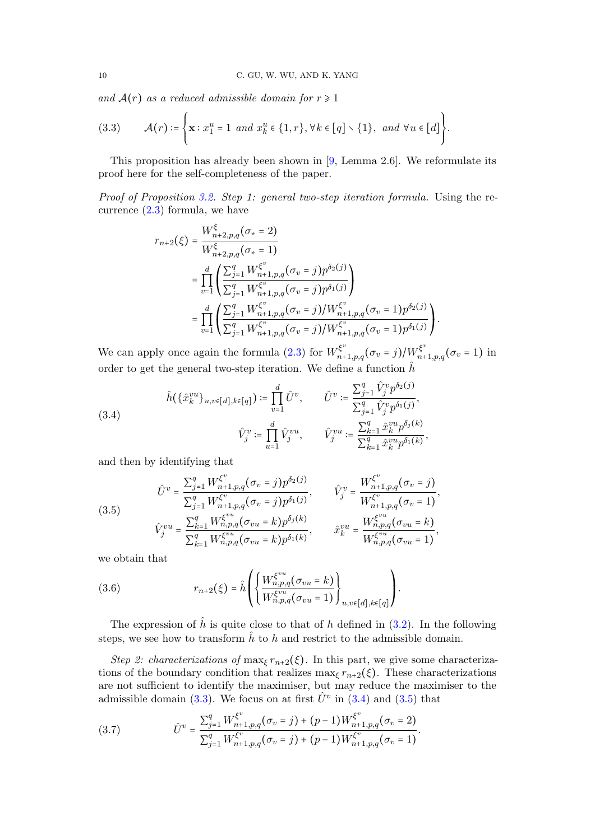and  $A(r)$  as a reduced admissible domain for  $r \geq 1$ 

<span id="page-9-0"></span>(3.3) 
$$
\mathcal{A}(r) \coloneqq \left\{ \mathbf{x} : x_1^u = 1 \text{ and } x_k^u \in \{1, r\}, \forall k \in [q] \setminus \{1\}, \text{ and } \forall u \in [d] \right\}.
$$

This proposition has already been shown in [\[9,](#page-21-12) Lemma 2.6]. We reformulate its proof here for the self-completeness of the paper.

Proof of Proposition [3.2.](#page-8-1) Step 1: general two-step iteration formula. Using the recurrence [\(2.3\)](#page-5-3) formula, we have

$$
r_{n+2}(\xi) = \frac{W_{n+2,p,q}^{\xi}(\sigma_{*}=2)}{W_{n+2,p,q}^{\xi}(\sigma_{*}=1)}
$$
  
= 
$$
\prod_{v=1}^{d} \left( \frac{\sum_{j=1}^{q} W_{n+1,p,q}^{\xi^{v}}(\sigma_{v}=j) p^{\delta_{2}(j)}}{\sum_{j=1}^{q} W_{n+1,p,q}^{\xi^{v}}(\sigma_{v}=j) p^{\delta_{1}(j)}} \right)
$$
  
= 
$$
\prod_{v=1}^{d} \left( \frac{\sum_{j=1}^{q} W_{n+1,p,q}^{\xi^{v}}(\sigma_{v}=j) / W_{n+1,p,q}^{\xi^{v}}(\sigma_{v}=1) p^{\delta_{2}(j)}}{\sum_{j=1}^{q} W_{n+1,p,q}^{\xi^{v}}(\sigma_{v}=j) / W_{n+1,p,q}^{\xi^{v}}(\sigma_{v}=1) p^{\delta_{1}(j)}} \right).
$$

We can apply once again the formula [\(2.3\)](#page-5-3) for  $W_{n+1,p,q}^{\xi^v}(\sigma_v = j)/W_{n+1,p,q}^{\xi^v}(\sigma_v = 1)$  in order to get the general two-step iteration. We define a function  $\hat{h}$ 

<span id="page-9-1"></span>(3.4) 
$$
\hat{h}(\{\hat{x}_{k}^{vu}\}_{u,v\in[d],k\in[q]}) := \prod_{v=1}^{d} \hat{U}^{v}, \qquad \hat{U}^{v} := \frac{\sum_{j=1}^{q} \hat{V}_{j}^{v} p^{\delta_{2}(j)}}{\sum_{j=1}^{q} \hat{V}_{j}^{v} p^{\delta_{1}(j)}},
$$

$$
\hat{V}_{j}^{v} := \prod_{u=1}^{d} \hat{V}_{j}^{vu}, \qquad \hat{V}_{j}^{vu} := \frac{\sum_{k=1}^{q} \hat{x}_{k}^{vu} p^{\delta_{j}(k)}}{\sum_{k=1}^{q} \hat{x}_{k}^{vu} p^{\delta_{1}(k)}},
$$

and then by identifying that

<span id="page-9-2"></span>(3.5)  

$$
\hat{U}^{v} = \frac{\sum_{j=1}^{q} W_{n+1,p,q}^{\xi^{v}}(\sigma_{v} = j) p^{\delta_{2}(j)}}{\sum_{j=1}^{q} W_{n+1,p,q}^{\xi^{v}}(\sigma_{v} = j) p^{\delta_{1}(j)}}, \qquad \hat{V}_{j}^{v} = \frac{W_{n+1,p,q}^{\xi^{v}}(\sigma_{v} = j)}{W_{n+1,p,q}^{\xi^{v}}(\sigma_{v} = 1)},
$$

$$
\hat{V}_{j}^{vu} = \frac{\sum_{k=1}^{q} W_{n,p,q}^{\xi^{vu}}(\sigma_{vu} = k) p^{\delta_{j}(k)}}{\sum_{k=1}^{q} W_{n,p,q}^{\xi^{vu}}(\sigma_{vu} = k) p^{\delta_{1}(k)}}, \qquad \hat{x}_{k}^{vu} = \frac{W_{n,p,q}^{\xi^{vu}}(\sigma_{vu} = k)}{W_{n,p,q}^{\xi^{vu}}(\sigma_{vu} = 1)},
$$

we obtain that

(3.6) 
$$
r_{n+2}(\xi) = \hat{h}\left(\left\{\frac{W_{n,p,q}^{\xi^{vu}}(\sigma_{vu}=k)}{W_{n,p,q}^{\xi^{vu}}(\sigma_{vu}=1)}\right\}_{u,v\in[d],k\in[q]}\right).
$$

The expression of  $\hat{h}$  is quite close to that of h defined in [\(3.2\)](#page-8-2). In the following steps, we see how to transform  $\hat{h}$  to h and restrict to the admissible domain.

Step 2: characterizations of max<sub> $\epsilon$ </sub>  $r_{n+2}(\xi)$ . In this part, we give some characterizations of the boundary condition that realizes max<sub> $\epsilon$ </sub>  $r_{n+2}(\xi)$ . These characterizations are not sufficient to identify the maximiser, but may reduce the maximiser to the admissible domain [\(3.3\)](#page-9-0). We focus on at first  $\hat{U}^v$  in [\(3.4\)](#page-9-1) and [\(3.5\)](#page-9-2) that

<span id="page-9-3"></span>(3.7) 
$$
\hat{U}^v = \frac{\sum_{j=1}^q W_{n+1,p,q}^{\xi^v}(\sigma_v = j) + (p-1)W_{n+1,p,q}^{\xi^v}(\sigma_v = 2)}{\sum_{j=1}^q W_{n+1,p,q}^{\xi^v}(\sigma_v = j) + (p-1)W_{n+1,p,q}^{\xi^v}(\sigma_v = 1)}.
$$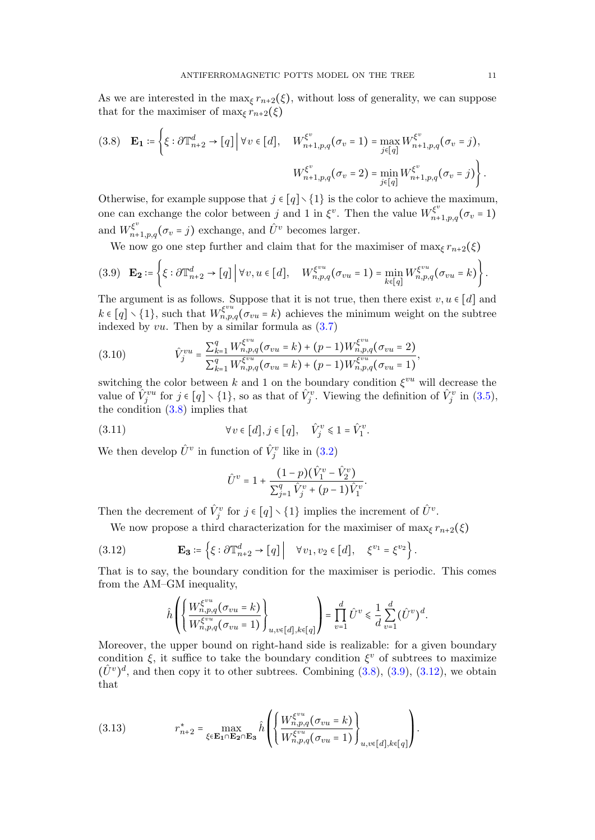As we are interested in the max<sub> $\xi$ </sub>  $r_{n+2}(\xi)$ , without loss of generality, we can suppose that for the maximiser of max<sub> $\xi$ </sub>  $r_{n+2}(\xi)$ 

<span id="page-10-0"></span>
$$
(3.8) \quad \mathbf{E_1} \coloneqq \left\{ \xi : \partial \mathbb{T}_{n+2}^d \to [q] \, \middle| \, \forall v \in [d], \quad W_{n+1,p,q}^{\xi^v}(\sigma_v = 1) = \max_{j \in [q]} W_{n+1,p,q}^{\xi^v}(\sigma_v = j), \right. \\
\left. W_{n+1,p,q}^{\xi^v}(\sigma_v = 2) = \min_{j \in [q]} W_{n+1,p,q}^{\xi^v}(\sigma_v = j) \right\}.
$$

Otherwise, for example suppose that  $j \in [q] \setminus \{1\}$  is the color to achieve the maximum, one can exchange the color between j and 1 in  $\xi^v$ . Then the value  $W_{n+1,p,q}^{\xi^v}(\sigma_v=1)$ and  $W_{n+1,p,q}^{\xi^v}(\sigma_v = j)$  exchange, and  $\hat{U}^v$  becomes larger.

We now go one step further and claim that for the maximiser of  $\max_{\xi} r_{n+2}(\xi)$ 

<span id="page-10-1"></span>
$$
(3.9) \quad \mathbf{E_2} \coloneqq \left\{ \xi : \partial \mathbb{T}_{n+2}^d \to [q] \middle| \forall v, u \in [d], \quad W_{n,p,q}^{\xi^{vu}}(\sigma_{vu} = 1) = \min_{k \in [q]} W_{n,p,q}^{\xi^{vu}}(\sigma_{vu} = k) \right\}.
$$

The argument is as follows. Suppose that it is not true, then there exist  $v, u \in [d]$  and  $k \in [q] \setminus \{1\}$ , such that  $W_{n,p,q}^{\xi^{vu}}(\sigma_{vu} = k)$  achieves the minimum weight on the subtree indexed by  $vu$ . Then by a similar formula as  $(3.7)$ 

(3.10) 
$$
\hat{V}_j^{vu} = \frac{\sum_{k=1}^q W_{n,p,q}^{\xi^{vu}}(\sigma_{vu} = k) + (p-1)W_{n,p,q}^{\xi^{vu}}(\sigma_{vu} = 2)}{\sum_{k=1}^q W_{n,p,q}^{\xi^{vu}}(\sigma_{vu} = k) + (p-1)W_{n,p,q}^{\xi^{vu}}(\sigma_{vu} = 1)},
$$

switching the color between k and 1 on the boundary condition  $\xi^{vu}$  will decrease the value of  $\hat{V}^{vu}_j$  for  $j \in [q] \setminus \{1\}$ , so as that of  $\hat{V}^v_j$ . Viewing the definition of  $\hat{V}^v_j$  in  $(3.5)$ , the condition  $(3.8)$  implies that

(3.11) 
$$
\forall v \in [d], j \in [q], \quad \hat{V}_j^v \leq 1 = \hat{V}_1^v.
$$

We then develop  $\hat{U}^v$  in function of  $\hat{V}^v_j$  like in [\(3.2\)](#page-8-2)

$$
\hat{U}^v = 1 + \frac{(1-p)(\hat{V}_1^v - \hat{V}_2^v)}{\sum_{j=1}^q \hat{V}_j^v + (p-1)\hat{V}_1^v}.
$$

Then the decrement of  $\hat{V}_j^v$  for  $j \in [q] \setminus \{1\}$  implies the increment of  $\hat{U}^v$ .

We now propose a third characterization for the maximiser of max $\zeta r_{n+2}(\xi)$ 

<span id="page-10-2"></span>(3.12) 
$$
\mathbf{E_3} \coloneqq \left\{ \xi : \partial \mathbb{T}_{n+2}^d \to [q] \middle| \quad \forall v_1, v_2 \in [d], \quad \xi^{v_1} = \xi^{v_2} \right\}.
$$

That is to say, the boundary condition for the maximiser is periodic. This comes from the AM–GM inequality,

$$
\hat{h}\left(\left\{\frac{W_{n,p,q}^{\xi^{vu}}(\sigma_{vu}=k)}{W_{n,p,q}^{\xi^{vu}}(\sigma_{vu}=1)}\right\}_{u,v\in[d],k\in[q]}\right)=\prod_{v=1}^d \hat{U}^v \leq \frac{1}{d} \sum_{v=1}^d (\hat{U}^v)^d.
$$

Moreover, the upper bound on right-hand side is realizable: for a given boundary condition  $\xi$ , it suffice to take the boundary condition  $\xi^v$  of subtrees to maximize  $(\hat{U}^v)^d$ , and then copy it to other subtrees. Combining [\(3.8\)](#page-10-0), [\(3.9\)](#page-10-1), [\(3.12\)](#page-10-2), we obtain that

<span id="page-10-3"></span>(3.13) 
$$
r_{n+2}^{*} = \max_{\xi \in \mathbf{E_1} \cap \mathbf{E_2} \cap \mathbf{E_3}} \hat{h}\left(\left\{\frac{W_{n,p,q}^{\xi^{vu}}(\sigma_{vu}=k)}{W_{n,p,q}^{\xi^{vu}}(\sigma_{vu}=1)}\right\}_{u,v \in [d], k \in [q]}\right).
$$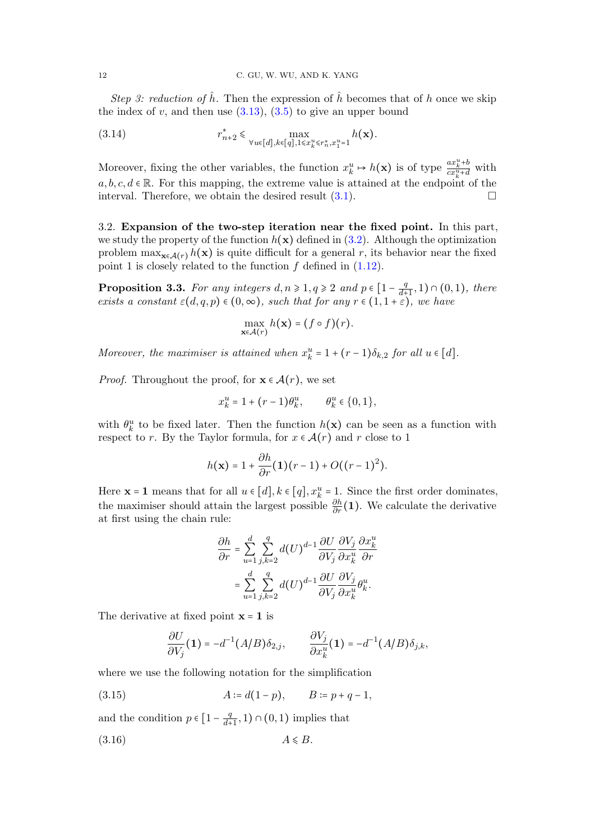Step 3: reduction of  $\hat{h}$ . Then the expression of  $\hat{h}$  becomes that of h once we skip the index of v, and then use  $(3.13)$ ,  $(3.5)$  to give an upper bound

(3.14) 
$$
r_{n+2}^{*} \leq \max_{\forall u \in [d], k \in [q], 1 \leq x_{k}^{u} \leq r_{n}^{*}, x_{1}^{u} = 1} h(\mathbf{x}).
$$

Moreover, fixing the other variables, the function  $x_k^u \mapsto h(\mathbf{x})$  is of type  $\frac{ax_k^u + b}{cx_k^u + d}$  with  $a, b, c, d \in \mathbb{R}$ . For this mapping, the extreme value is attained at the endpoint of the interval. Therefore, we obtain the desired result  $(3.1)$ .

3.2. Expansion of the two-step iteration near the fixed point. In this part, we study the property of the function  $h(\mathbf{x})$  defined in [\(3.2\)](#page-8-2). Although the optimization problem  $\max_{\mathbf{x} \in \mathcal{A}(r)} h(\mathbf{x})$  is quite difficult for a general r, its behavior near the fixed point 1 is closely related to the function  $f$  defined in  $(1.12)$ .

<span id="page-11-0"></span>**Proposition 3.3.** For any integers  $d, n \ge 1, q \ge 2$  and  $p \in \left[1 - \frac{q}{d+1}, 1\right) \cap \left(0, 1\right)$ , there exists a constant  $\varepsilon(d,q,p) \in (0,\infty)$ , such that for any  $r \in (1,1+\varepsilon)$ , we have

$$
\max_{\mathbf{x}\in\mathcal{A}(r)}h(\mathbf{x})=(f\circ f)(r).
$$

Moreover, the maximiser is attained when  $x_k^u = 1 + (r-1)\delta_{k,2}$  for all  $u \in [d]$ .

*Proof.* Throughout the proof, for  $\mathbf{x} \in \mathcal{A}(r)$ , we set

$$
x_k^u = 1 + (r - 1)\theta_k^u, \qquad \theta_k^u \in \{0, 1\},\
$$

with  $\theta_k^u$  to be fixed later. Then the function  $h(\mathbf{x})$  can be seen as a function with respect to r. By the Taylor formula, for  $x \in \mathcal{A}(r)$  and r close to 1

$$
h(\mathbf{x}) = 1 + \frac{\partial h}{\partial r}(\mathbf{1})(r-1) + O((r-1)^2).
$$

Here  $\mathbf{x} = \mathbf{1}$  means that for all  $u \in [d], k \in [q], x_k^u = 1$ . Since the first order dominates, the maximiser should attain the largest possible  $\frac{\partial h}{\partial r}(1)$ . We calculate the derivative at first using the chain rule:

$$
\begin{split} \frac{\partial h}{\partial r} &= \sum_{u=1}^d \sum_{j,k=2}^q d(U)^{d-1} \frac{\partial U}{\partial V_j} \frac{\partial V_j}{\partial x_k^u} \frac{\partial x_k^u}{\partial r} \\ &= \sum_{u=1}^d \sum_{j,k=2}^q d(U)^{d-1} \frac{\partial U}{\partial V_j} \frac{\partial V_j}{\partial x_k^u} \theta_k^u. \end{split}
$$

The derivative at fixed point  $x = 1$  is

$$
\frac{\partial U}{\partial V_j}(\mathbf{1}) = -d^{-1}(A/B)\delta_{2,j}, \qquad \frac{\partial V_j}{\partial x_k^u}(\mathbf{1}) = -d^{-1}(A/B)\delta_{j,k},
$$

where we use the following notation for the simplification

<span id="page-11-1"></span>(3.15) 
$$
A := d(1-p), \qquad B := p + q - 1,
$$

and the condition  $p \in \left[1 - \frac{q}{d+1}\right]$  $\frac{q}{d+1}, 1) \cap (0,1)$  implies that

<span id="page-11-2"></span>
$$
(3.16) \t\t A \le B.
$$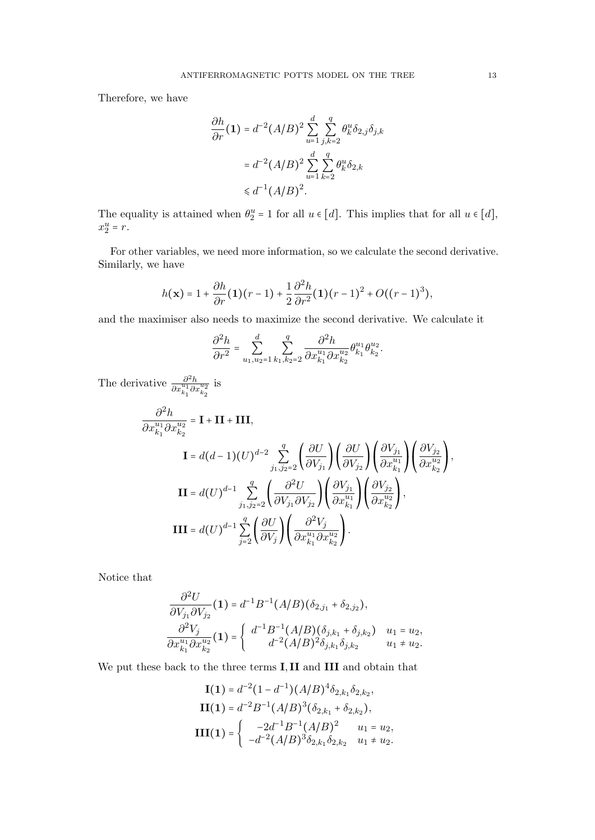Therefore, we have

$$
\frac{\partial h}{\partial r}(\mathbf{1}) = d^{-2} (A/B)^2 \sum_{u=1}^d \sum_{j,k=2}^q \theta_k^u \delta_{2,j} \delta_{j,k}
$$

$$
= d^{-2} (A/B)^2 \sum_{u=1}^d \sum_{k=2}^q \theta_k^u \delta_{2,k}
$$

$$
\leq d^{-1} (A/B)^2.
$$

The equality is attained when  $\theta_2^u = 1$  for all  $u \in [d]$ . This implies that for all  $u \in [d]$ ,  $x_2^u = r.$ 

For other variables, we need more information, so we calculate the second derivative. Similarly, we have

$$
h(\mathbf{x}) = 1 + \frac{\partial h}{\partial r}(\mathbf{1})(r-1) + \frac{1}{2}\frac{\partial^2 h}{\partial r^2}(\mathbf{1})(r-1)^2 + O((r-1)^3),
$$

and the maximiser also needs to maximize the second derivative. We calculate it

$$
\frac{\partial^2 h}{\partial r^2} = \sum_{u_1,u_2=1}^d \sum_{k_1,k_2=2}^q \frac{\partial^2 h}{\partial x_{k_1}^{u_1} \partial x_{k_2}^{u_2}} \theta_{k_1}^{u_1} \theta_{k_2}^{u_2}.
$$

The derivative  $\frac{\partial^2 h}{\partial x_{k_1}^{u_1} \partial x_{k_2}^{u_2}}$ is

$$
\frac{\partial^2 h}{\partial x_{k_1}^{u_1} \partial x_{k_2}^{u_2}} = \mathbf{I} + \mathbf{II} + \mathbf{III},
$$
\n
$$
\mathbf{I} = d(d-1)(U)^{d-2} \sum_{j_1, j_2 = 2}^{q} \left( \frac{\partial U}{\partial V_{j_1}} \right) \left( \frac{\partial U}{\partial V_{j_2}} \right) \left( \frac{\partial V_{j_1}}{\partial x_{k_1}^{u_1}} \right) \left( \frac{\partial V_{j_2}}{\partial x_{k_2}^{u_2}} \right),
$$
\n
$$
\mathbf{II} = d(U)^{d-1} \sum_{j_1, j_2 = 2}^{q} \left( \frac{\partial^2 U}{\partial V_{j_1} \partial V_{j_2}} \right) \left( \frac{\partial V_{j_1}}{\partial x_{k_1}^{u_1}} \right) \left( \frac{\partial V_{j_2}}{\partial x_{k_2}^{u_2}} \right),
$$
\n
$$
\mathbf{III} = d(U)^{d-1} \sum_{j=2}^{q} \left( \frac{\partial U}{\partial V_j} \right) \left( \frac{\partial^2 V_j}{\partial x_{k_1}^{u_1} \partial x_{k_2}^{u_2}} \right).
$$

Notice that

$$
\frac{\partial^2 U}{\partial V_{j_1} \partial V_{j_2}} (\mathbf{1}) = d^{-1} B^{-1} (A/B) (\delta_{2,j_1} + \delta_{2,j_2}),
$$
  

$$
\frac{\partial^2 V_j}{\partial x_{k_1}^{u_1} \partial x_{k_2}^{u_2}} (\mathbf{1}) = \begin{cases} d^{-1} B^{-1} (A/B) (\delta_{j,k_1} + \delta_{j,k_2}) & u_1 = u_2, \\ d^{-2} (A/B)^2 \delta_{j,k_1} \delta_{j,k_2} & u_1 \neq u_2. \end{cases}
$$

We put these back to the three terms I, II and III and obtain that

$$
\mathbf{I(1)} = d^{-2} (1 - d^{-1}) (A/B)^4 \delta_{2,k_1} \delta_{2,k_2},
$$
  
\n
$$
\mathbf{II(1)} = d^{-2} B^{-1} (A/B)^3 (\delta_{2,k_1} + \delta_{2,k_2}),
$$
  
\n
$$
\mathbf{III(1)} = \begin{cases}\n-2d^{-1} B^{-1} (A/B)^2 & u_1 = u_2, \\
-d^{-2} (A/B)^3 \delta_{2,k_1} \delta_{2,k_2} & u_1 \neq u_2.\n\end{cases}
$$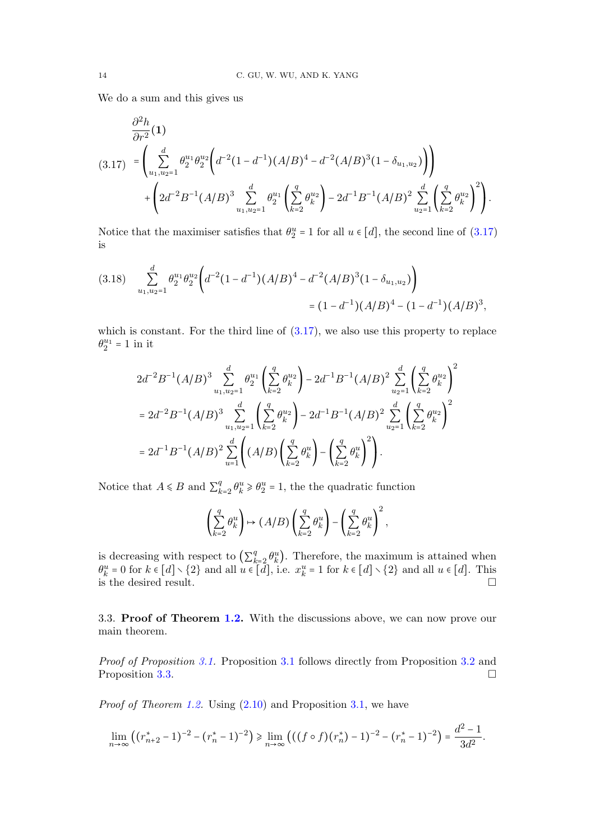We do a sum and this gives us

<span id="page-13-0"></span>
$$
\frac{\partial^2 h}{\partial r^2}(\mathbf{1})
$$
\n
$$
(3.17) = \left(\sum_{u_1, u_2=1}^d \theta_2^{u_1} \theta_2^{u_2} \left(d^{-2} (1 - d^{-1}) (A/B)^4 - d^{-2} (A/B)^3 (1 - \delta_{u_1, u_2})\right)\right) + \left(2d^{-2} B^{-1} (A/B)^3 \sum_{u_1, u_2=1}^d \theta_2^{u_1} \left(\sum_{k=2}^q \theta_k^{u_2}\right) - 2d^{-1} B^{-1} (A/B)^2 \sum_{u_2=1}^d \left(\sum_{k=2}^q \theta_k^{u_2}\right)^2\right).
$$

Notice that the maximiser satisfies that  $\theta_2^u = 1$  for all  $u \in [d]$ , the second line of  $(3.17)$ is

$$
(3.18) \quad \sum_{u_1, u_2=1}^d \theta_2^{u_1} \theta_2^{u_2} \Big( d^{-2} (1 - d^{-1}) (A/B)^4 - d^{-2} (A/B)^3 (1 - \delta_{u_1, u_2}) \Big) \\ = (1 - d^{-1}) (A/B)^4 - (1 - d^{-1}) (A/B)^3,
$$

which is constant. For the third line of  $(3.17)$ , we also use this property to replace  $\theta_2^{u_1} = 1$  in it

$$
\begin{split} &2d^{-2}B^{-1}(A/B)^3\sum_{u_1,u_2=1}^d\theta_2^{u_1}\left(\sum_{k=2}^q\theta_k^{u_2}\right)-2d^{-1}B^{-1}(A/B)^2\sum_{u_2=1}^d\left(\sum_{k=2}^q\theta_k^{u_2}\right)^2\\ &=2d^{-2}B^{-1}(A/B)^3\sum_{u_1,u_2=1}^d\left(\sum_{k=2}^q\theta_k^{u_2}\right)-2d^{-1}B^{-1}(A/B)^2\sum_{u_2=1}^d\left(\sum_{k=2}^q\theta_k^{u_2}\right)^2\\ &=2d^{-1}B^{-1}(A/B)^2\sum_{u=1}^d\left((A/B)\left(\sum_{k=2}^q\theta_k^{u}\right)-\left(\sum_{k=2}^q\theta_k^{u}\right)^2\right). \end{split}
$$

Notice that  $A \le B$  and  $\sum_{k=1}^{q} A_k$  $\theta_k^q \geq \theta_k^u \geq \theta_2^u = 1$ , the the quadratic function

$$
\left(\sum_{k=2}^q \theta_k^u\right) \mapsto (A/B)\left(\sum_{k=2}^q \theta_k^u\right) - \left(\sum_{k=2}^q \theta_k^u\right)^2,
$$

is decreasing with respect to  $\left(\sum_{k=1}^{q} a_k\right)$ is decreasing with respect to  $\left(\sum_{k=2}^{q} \theta_k^u\right)$ . Therefore, the maximum is attained when  $\theta_k^u = 0$  for  $k \in [d] \setminus \{2\}$  and all  $u \in [d]$ . This is the desired result.

3.3. Proof of Theorem [1.2.](#page-2-0) With the discussions above, we can now prove our main theorem.

Proof of Proposition [3.1.](#page-8-4) Proposition [3.1](#page-8-4) follows directly from Proposition [3.2](#page-8-1) and Proposition [3.3.](#page-11-0)

Proof of Theorem [1.2.](#page-2-0) Using  $(2.10)$  and Proposition [3.1,](#page-8-4) we have

$$
\lim_{n\to\infty}\left((r_{n+2}^* - 1)^{-2} - (r_n^* - 1)^{-2}\right) \ge \lim_{n\to\infty}\left(((f \circ f)(r_n^*) - 1)^{-2} - (r_n^* - 1)^{-2}\right) = \frac{d^2 - 1}{3d^2}.
$$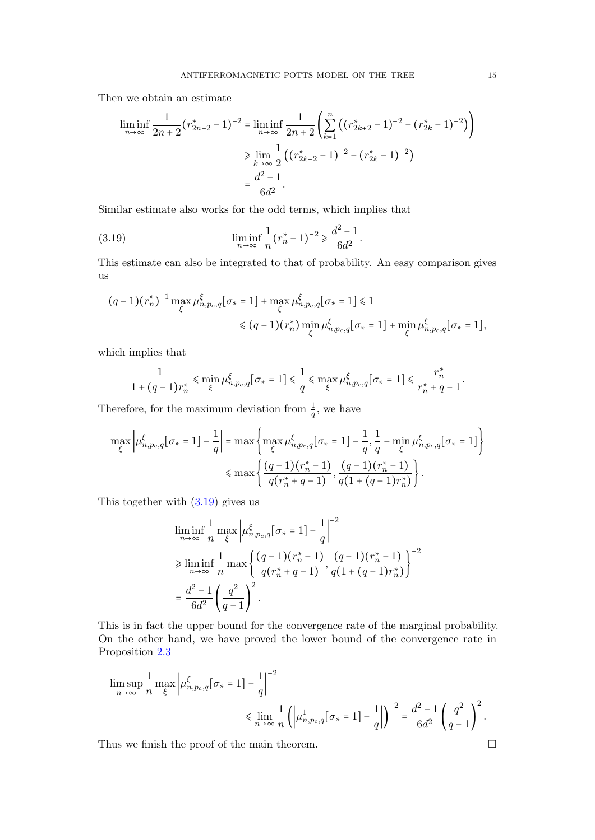Then we obtain an estimate

$$
\liminf_{n \to \infty} \frac{1}{2n+2} (r_{2n+2}^* - 1)^{-2} = \liminf_{n \to \infty} \frac{1}{2n+2} \left( \sum_{k=1}^n \left( (r_{2k+2}^* - 1)^{-2} - (r_{2k}^* - 1)^{-2} \right) \right)
$$
  

$$
\geq \lim_{k \to \infty} \frac{1}{2} \left( (r_{2k+2}^* - 1)^{-2} - (r_{2k}^* - 1)^{-2} \right)
$$
  

$$
= \frac{d^2 - 1}{6d^2}.
$$

Similar estimate also works for the odd terms, which implies that

<span id="page-14-0"></span>(3.19) 
$$
\liminf_{n \to \infty} \frac{1}{n} (r_n^* - 1)^{-2} \ge \frac{d^2 - 1}{6d^2}.
$$

This estimate can also be integrated to that of probability. An easy comparison gives us

$$
\begin{split} &\big(q-1\big)\big(r_n^{\star}\big)^{-1}\max_{\xi}\mu_{n,p_c,q}^{\xi}\big[\sigma_{\star}=1\big]+\max_{\xi}\mu_{n,p_c,q}^{\xi}\big[\sigma_{\star}=1\big] \leq 1 \\ &\leq (q-1)\big(r_n^{\star}\big)\min_{\xi}\mu_{n,p_c,q}^{\xi}\big[\sigma_{\star}=1\big]+\min_{\xi}\mu_{n,p_c,q}^{\xi}\big[\sigma_{\star}=1\big], \end{split}
$$

which implies that

$$
\frac{1}{1+(q-1)r_n^*} \leq \min_{\xi} \mu_{n,p_c,q}^{\xi} [\sigma_* = 1] \leq \frac{1}{q} \leq \max_{\xi} \mu_{n,p_c,q}^{\xi} [\sigma_* = 1] \leq \frac{r_n^*}{r_n^*+q-1}.
$$

Therefore, for the maximum deviation from  $\frac{1}{q}$ , we have

$$
\max_{\xi} \left| \mu_{n, p_c, q}^{\xi} [\sigma_* = 1] - \frac{1}{q} \right| = \max \left\{ \max_{\xi} \mu_{n, p_c, q}^{\xi} [\sigma_* = 1] - \frac{1}{q}, \frac{1}{q} - \min_{\xi} \mu_{n, p_c, q}^{\xi} [\sigma_* = 1] \right\}
$$

$$
\leq \max \left\{ \frac{(q - 1)(r_n^* - 1)}{q(r_n^* + q - 1)}, \frac{(q - 1)(r_n^* - 1)}{q(1 + (q - 1)r_n^*)} \right\}.
$$

This together with [\(3.19\)](#page-14-0) gives us

$$
\liminf_{n \to \infty} \frac{1}{n} \max_{\xi} \left| \mu_{n, p_c, q}^{\xi} [\sigma_* = 1] - \frac{1}{q} \right|^{-2}
$$
\n
$$
\geq \liminf_{n \to \infty} \frac{1}{n} \max \left\{ \frac{(q-1)(r_n^* - 1)}{q(r_n^* + q - 1)}, \frac{(q-1)(r_n^* - 1)}{q(1 + (q-1)r_n^*)} \right\}^{-2}
$$
\n
$$
= \frac{d^2 - 1}{6d^2} \left( \frac{q^2}{q - 1} \right)^2.
$$

This is in fact the upper bound for the convergence rate of the marginal probability. On the other hand, we have proved the lower bound of the convergence rate in Proposition [2.3](#page-6-2)

$$
\begin{split} \limsup_{n\to\infty}&\frac{1}{n}\max_{\xi}\left|\mu^{\xi}_{n,p_c,q}[\sigma_{*}=1]-\frac{1}{q}\right|^{-2}\\ &\leqslant \lim_{n\to\infty}\frac{1}{n}\left(\left|\mu^1_{n,p_c,q}[\sigma_{*}=1]-\frac{1}{q}\right|\right)^{-2}=\frac{d^2-1}{6d^2}\left(\frac{q^2}{q-1}\right)^2. \end{split}
$$

Thus we finish the proof of the main theorem.  $\Box$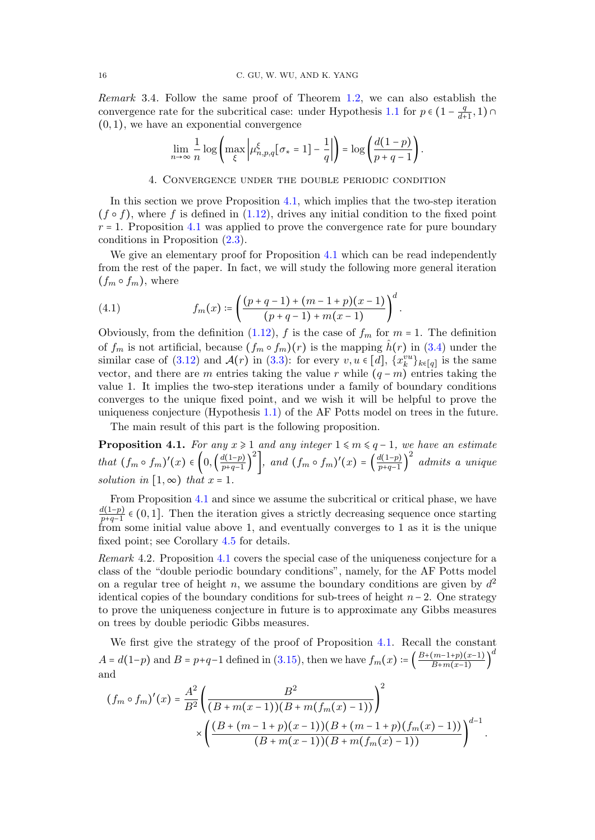Remark 3.4. Follow the same proof of Theorem [1.2,](#page-2-0) we can also establish the convergence rate for the subcritical case: under Hypothesis [1.1](#page-1-1) for  $p \in (1 - \frac{q}{d+1})$  $\frac{q}{d+1}, 1) \cap$  $(0, 1)$ , we have an exponential convergence

$$
\lim_{n\to\infty}\frac{1}{n}\log\left(\max_{\xi}\left|\mu^{\xi}_{n,p,q}[\sigma_*=1]-\frac{1}{q}\right|\right)=\log\left(\frac{d(1-p)}{p+q-1}\right).
$$

4. Convergence under the double periodic condition

In this section we prove Proposition [4.1,](#page-15-0) which implies that the two-step iteration  $(f \circ f)$ , where f is defined in  $(1.12)$ , drives any initial condition to the fixed point  $r = 1$ . Proposition [4.1](#page-15-0) was applied to prove the convergence rate for pure boundary conditions in Proposition [\(2.3\)](#page-6-2).

We give an elementary proof for Proposition [4.1](#page-15-0) which can be read independently from the rest of the paper. In fact, we will study the following more general iteration  $(f_m \circ f_m)$ , where

<span id="page-15-1"></span>(4.1) 
$$
f_m(x) \coloneqq \left( \frac{(p+q-1) + (m-1+p)(x-1)}{(p+q-1) + m(x-1)} \right)^d.
$$

Obviously, from the definition  $(1.12)$ , f is the case of  $f_m$  for  $m = 1$ . The definition of  $f_m$  is not artificial, because  $(f_m \circ f_m)(r)$  is the mapping  $\hat{h}(r)$  in [\(3.4\)](#page-9-1) under the similar case of  $(3.12)$  and  $\mathcal{A}(r)$  in  $(3.3)$ : for every  $v, u \in [d]$ ,  $\{x_k^{vu}\}_{k \in [q]}$  is the same vector, and there are m entries taking the value r while  $(q - m)$  entries taking the value 1. It implies the two-step iterations under a family of boundary conditions converges to the unique fixed point, and we wish it will be helpful to prove the uniqueness conjecture (Hypothesis [1.1\)](#page-1-1) of the AF Potts model on trees in the future.

The main result of this part is the following proposition.

<span id="page-15-0"></span>**Proposition 4.1.** For any  $x \ge 1$  and any integer  $1 \le m \le q-1$ , we have an estimate that  $(f_m \circ f_m)'(x) \in \left(0, \left(\frac{d(1-p)}{p+q-1}\right)\right)$  $p+q-1$  ) <sup>2</sup>, and  $(f_m \circ f_m)'(x) = \left(\frac{d(1-p)}{p+q-1}\right)$  $p+q-1$  ) 2 admits a unique solution in  $[1, \infty)$  that  $x = 1$ .

From Proposition [4.1](#page-15-0) and since we assume the subcritical or critical phase, we have  $\frac{d(1-p)}{p}$  $\frac{a(1-p)}{p+q-1}$  ∈ (0, 1]. Then the iteration gives a strictly decreasing sequence once starting from some initial value above 1, and eventually converges to 1 as it is the unique fixed point; see Corollary [4.5](#page-20-0) for details.

Remark 4.2. Proposition [4.1](#page-15-0) covers the special case of the uniqueness conjecture for a class of the "double periodic boundary conditions", namely, for the AF Potts model on a regular tree of height n, we assume the boundary conditions are given by  $d^2$ identical copies of the boundary conditions for sub-trees of height  $n-2$ . One strategy to prove the uniqueness conjecture in future is to approximate any Gibbs measures on trees by double periodic Gibbs measures.

We first give the strategy of the proof of Proposition [4.1.](#page-15-0) Recall the constant  $A = d(1-p)$  and  $B = p+q-1$  defined in [\(3.15\)](#page-11-1), then we have  $f_m(x) := \left(\frac{B + (m-1+p)(x-1)}{B + m(x-1)}\right)$  $B+m(x-1)$  ) d and

$$
(f_m \circ f_m)'(x) = \frac{A^2}{B^2} \left( \frac{B^2}{(B + m(x - 1))(B + m(f_m(x) - 1))} \right)^2
$$

$$
\times \left( \frac{(B + (m - 1 + p)(x - 1))(B + (m - 1 + p)(f_m(x) - 1))}{(B + m(x - 1))(B + m(f_m(x) - 1))} \right)^{d-1}.
$$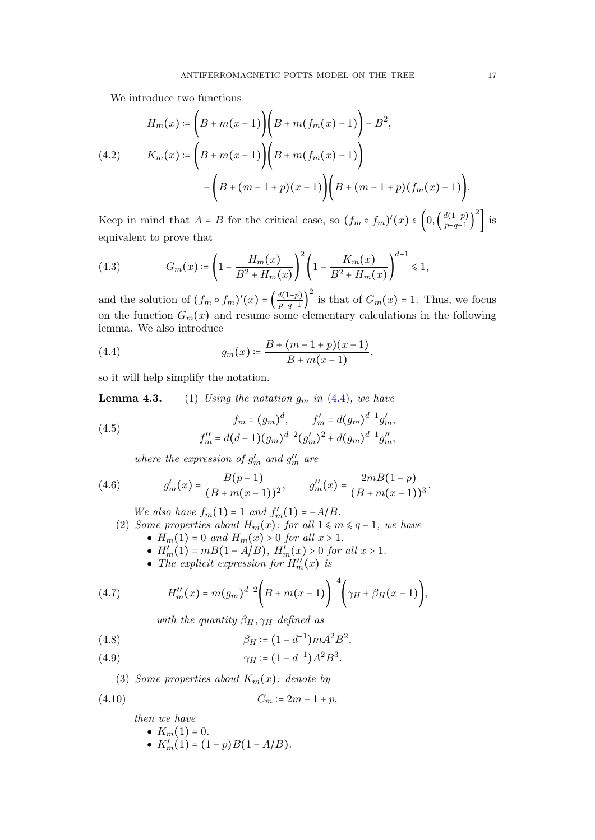We introduce two functions

$$
H_m(x) := \left(B + m(x - 1)\right)\left(B + m(f_m(x) - 1)\right) - B^2,
$$
\n
$$
(4.2) \qquad K_m(x) := \left(B + m(x - 1)\right)\left(B + m(f_m(x) - 1)\right)
$$
\n
$$
-\left(B + (m - 1 + p)(x - 1)\right)\left(B + (m - 1 + p)(f_m(x) - 1)\right).
$$

Keep in mind that  $A = B$  for the critical case, so  $(f_m \circ f_m)'(x) \in \left(0, \left(\frac{d(1-p)}{p+q-1}\right)\right)$  $p+q-1$  )  $\int$ <sup>2</sup>] is equivalent to prove that

<span id="page-16-1"></span>(4.3) 
$$
G_m(x) \coloneqq \left(1 - \frac{H_m(x)}{B^2 + H_m(x)}\right)^2 \left(1 - \frac{K_m(x)}{B^2 + H_m(x)}\right)^{d-1} \leq 1,
$$

and the solution of  $(f_m \circ f_m)'(x) = \left(\frac{d(1-p)}{p+q-1}\right)$  $p+q-1$ <sup>2</sup> is that of  $G_m(x) = 1$ . Thus, we focus on the function  $G_m(x)$  and resume some elementary calculations in the following lemma. We also introduce

<span id="page-16-0"></span>(4.4) 
$$
g_m(x) \coloneqq \frac{B + (m-1+p)(x-1)}{B + m(x-1)},
$$

so it will help simplify the notation.

**Lemma 4.3.** (1) Using the notation  $g_m$  in [\(4.4\)](#page-16-0), we have

(4.5) 
$$
f_m = (g_m)^d, \qquad f'_m = d(g_m)^{d-1} g'_m,
$$

$$
f''_m = d(d-1)(g_m)^{d-2} (g'_m)^2 + d(g_m)^{d-1} g''_m,
$$

where the expression of  $g'_{m}$  and  $g''_{m}$  are

(4.6) 
$$
g'_m(x) = \frac{B(p-1)}{(B+m(x-1))^2}, \qquad g''_m(x) = \frac{2m(1-p)}{(B+m(x-1))^3}.
$$

We also have  $f_m(1) = 1$  and  $f'_m(1) = -A/B$ .<br>Some magnetics short  $H_n(x)$ , for all  $1 \leq m$ .

- (2) Some properties about  $H_m(x)$ : for all  $1 \le m \le q-1$ , we have
	- $H_m(1) = 0$  and  $H_m(x) > 0$  for all  $x > 1$ .
	- $H'_m(1) = mB(1 A/B), H'_m(x) > 0$  for all  $x > 1$ .
	- The explicit expression for  $H''_m(x)$  is

(4.7) 
$$
H''_m(x) = m(g_m)^{d-2} \bigg( B + m(x-1) \bigg)^{-4} \bigg( \gamma_H + \beta_H(x-1) \bigg),
$$

with the quantity  $\beta_H, \gamma_H$  defined as

<span id="page-16-3"></span>(4.8) 
$$
\beta_H = (1 - d^{-1}) m A^2 B^2,
$$

<span id="page-16-2"></span>(4.9) 
$$
\gamma_H \coloneqq (1 - d^{-1})A^2 B^3.
$$

(3) Some properties about  $K_m(x)$ : denote by

$$
(4.10) \t C_m \coloneqq 2m - 1 + p,
$$

then we have

•  $K_m(1) = 0$ . •  $K'_m(1) = (1-p)B(1 - A/B)$ .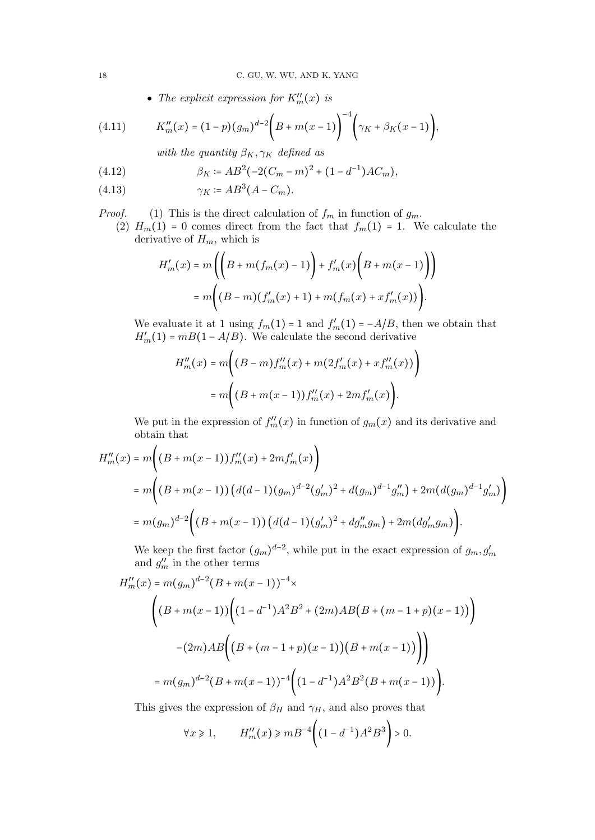• The explicit expression for  $K''_m(x)$  is

(4.11) 
$$
K''_m(x) = (1-p)(g_m)^{d-2} \left(B + m(x-1)\right)^{-4} \left(\gamma_K + \beta_K(x-1)\right),
$$

with the quantity  $\beta_K, \gamma_K$  defined as

<span id="page-17-1"></span>(4.12) 
$$
\beta_K \coloneqq AB^2(-2(C_m - m)^2 + (1 - d^{-1})AC_m),
$$

<span id="page-17-0"></span>
$$
(4.13)\qquad \qquad \gamma_K \coloneqq AB^3(A - C_m).
$$

*Proof.* (1) This is the direct calculation of  $f_m$  in function of  $g_m$ .

(2)  $H_m(1) = 0$  comes direct from the fact that  $f_m(1) = 1$ . We calculate the derivative of  $H_m$ , which is

$$
H'_{m}(x) = m\left(\left(B + m(f_{m}(x) - 1)\right) + f'_{m}(x)\left(B + m(x - 1)\right)\right)
$$
  
= 
$$
m\left((B - m)(f'_{m}(x) + 1) + m(f_{m}(x) + xf'_{m}(x))\right).
$$

We evaluate it at 1 using  $f_m(1) = 1$  and  $f'_m(1) = -A/B$ , then we obtain that  $H'_m(1) = mB(1 - A/B)$ . We calculate the second derivative

$$
H''_m(x) = m((B-m)f''_m(x) + m(2f'_m(x) + xf''_m(x)))
$$
  
=  $m((B+m(x-1))f''_m(x) + 2mf'_m(x)).$ 

We put in the expression of  $f''_m(x)$  in function of  $g_m(x)$  and its derivative and obtain that

$$
H''_m(x) = m((B + m(x - 1))f''_m(x) + 2mf'_m(x))
$$
  
=  $m((B + m(x - 1))(d(d - 1)(g_m)^{d-2}(g'_m)^2 + d(g_m)^{d-1}g''_m) + 2m(d(g_m)^{d-1}g'_m))$   
=  $m(g_m)^{d-2}((B + m(x - 1))(d(d - 1)(g'_m)^2 + dg''_mg_m) + 2m(dg'_mg_m)).$ 

We keep the first factor  $(g_m)^{d-2}$ , while put in the exact expression of  $g_m, g'_m$ and  $g''_m$  in the other terms

$$
H''_m(x) = m(g_m)^{d-2}(B + m(x - 1))^{-4} \times
$$
\n
$$
\left( (B + m(x - 1)) \left( (1 - d^{-1})A^2 B^2 + (2m)AB(B + (m - 1 + p)(x - 1)) \right) \right)
$$
\n
$$
-(2m)AB \left( (B + (m - 1 + p)(x - 1))(B + m(x - 1)) \right)
$$
\n
$$
= m(g_m)^{d-2}(B + m(x - 1))^{-4} \left( (1 - d^{-1})A^2 B^2 (B + m(x - 1)) \right).
$$

This gives the expression of  $\beta_H$  and  $\gamma_H$ , and also proves that

$$
\forall x \ge 1
$$
,  $H''_m(x) \ge mB^{-4}\left((1-d^{-1})A^2B^3\right) > 0$ .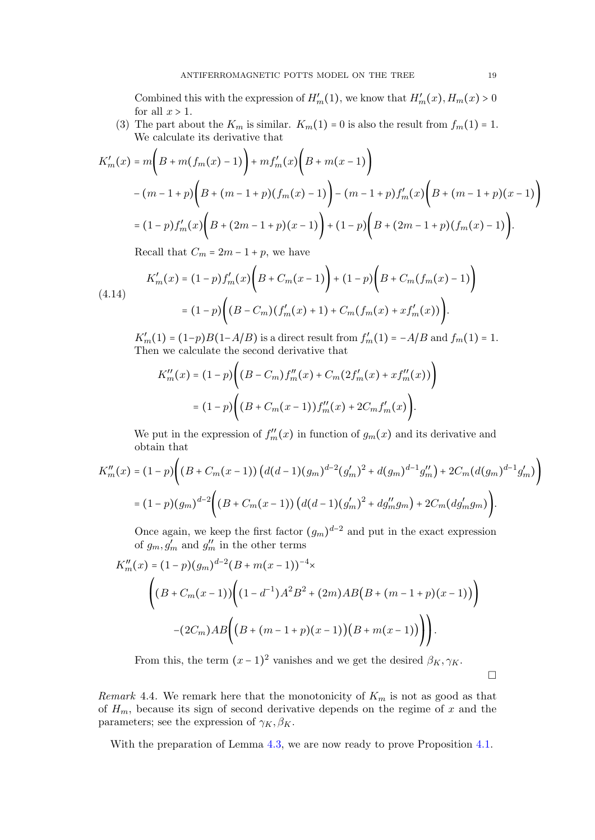Combined this with the expression of  $H'_m(1)$ , we know that  $H'_m(x)$ ,  $H_m(x) > 0$ for all  $x > 1$ .

(3) The part about the  $K_m$  is similar.  $K_m(1) = 0$  is also the result from  $f_m(1) = 1$ . We calculate its derivative that

$$
K'_{m}(x) = m\left(B + m(f_{m}(x) - 1)\right) + mf'_{m}(x)\left(B + m(x - 1)\right)
$$
  

$$
- (m - 1 + p)\left(B + (m - 1 + p)(f_{m}(x) - 1)\right) - (m - 1 + p)f'_{m}(x)\left(B + (m - 1 + p)(x - 1)\right)
$$
  

$$
= (1 - p)f'_{m}(x)\left(B + (2m - 1 + p)(x - 1)\right) + (1 - p)\left(B + (2m - 1 + p)(f_{m}(x) - 1)\right).
$$

Recall that  $C_m = 2m - 1 + p$ , we have

$$
K'_{m}(x) = (1-p)f'_{m}(x)\bigg(B + C_{m}(x-1)\bigg) + (1-p)\bigg(B + C_{m}(f_{m}(x)-1)\bigg)
$$
  
(4.14)  

$$
= (1-p)\bigg((B - C_{m})(f'_{m}(x) + 1) + C_{m}(f_{m}(x) + xf'_{m}(x))\bigg).
$$

 $K'_m(1) = (1-p)B(1-A/B)$  is a direct result from  $f'_m(1) = -A/B$  and  $f_m(1) = 1$ .<br>Then we selected the second derivative that Then we calculate the second derivative that

$$
K''_m(x) = (1-p)\Big((B - C_m)f''_m(x) + C_m(2f'_m(x) + xf''_m(x))\Big)
$$
  
=  $(1-p)\Big((B + C_m(x-1))f''_m(x) + 2C_mf'_m(x)\Big).$ 

We put in the expression of  $f''_m(x)$  in function of  $g_m(x)$  and its derivative and obtain that

$$
K''_m(x) = (1-p)\Big((B + C_m(x-1))\left(d(d-1)(g_m)^{d-2}(g'_m)^2 + d(g_m)^{d-1}g''_m\right) + 2C_m(d(g_m)^{d-1}g'_m)\Big)
$$
  
=  $(1-p)(g_m)^{d-2}\Big((B + C_m(x-1))\left(d(d-1)(g'_m)^2 + dg''_mg_m\right) + 2C_m(dg'_mg_m)\Big).$ 

Once again, we keep the first factor  $(g_m)^{d-2}$  and put in the exact expression of  $g_m$ ,  $g'_m$  and  $g''_m$  in the other terms

$$
K_m''(x) = (1-p)(g_m)^{d-2}(B+m(x-1))^{-4} \times
$$
  
\n
$$
\left((B+C_m(x-1))\left((1-d^{-1})A^2B^2+(2m)AB(B+(m-1+p)(x-1))\right)\right)
$$
  
\n
$$
-(2C_m)AB\left((B+(m-1+p)(x-1))(B+m(x-1))\right)\right).
$$

From this, the term  $(x-1)^2$  vanishes and we get the desired  $\beta_K, \gamma_K$ .

 $\Box$ 

Remark 4.4. We remark here that the monotonicity of  $K_m$  is not as good as that of  $H_m$ , because its sign of second derivative depends on the regime of x and the parameters; see the expression of  $\gamma_K, \beta_K$ .

With the preparation of Lemma [4.3,](#page-0-2) we are now ready to prove Proposition [4.1.](#page-15-0)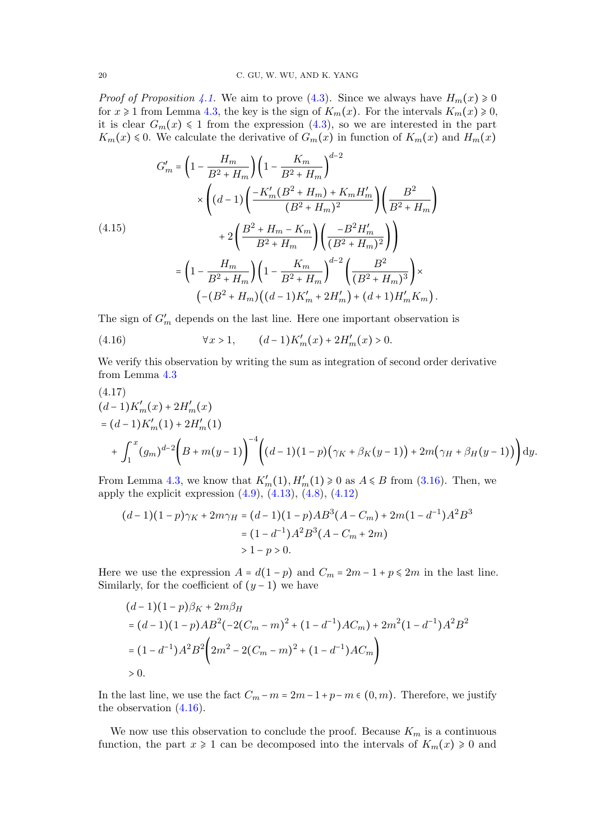*Proof of Proposition [4.1.](#page-15-0)* We aim to prove [\(4.3\)](#page-16-1). Since we always have  $H_m(x) \ge 0$ for  $x \ge 1$  from Lemma [4.3,](#page-0-2) the key is the sign of  $K_m(x)$ . For the intervals  $K_m(x) \ge 0$ , it is clear  $G_m(x) \leq 1$  from the expression [\(4.3\)](#page-16-1), so we are interested in the part  $K_m(x) \leq 0$ . We calculate the derivative of  $G_m(x)$  in function of  $K_m(x)$  and  $H_m(x)$ 

<span id="page-19-1"></span>
$$
G'_{m} = \left(1 - \frac{H_{m}}{B^{2} + H_{m}}\right) \left(1 - \frac{K_{m}}{B^{2} + H_{m}}\right)^{d-2}
$$

$$
\times \left((d-1)\left(\frac{-K'_{m}(B^{2} + H_{m}) + K_{m}H'_{m}}{(B^{2} + H_{m})^{2}}\right)\left(\frac{B^{2}}{B^{2} + H_{m}}\right)\right)
$$

$$
+ 2\left(\frac{B^{2} + H_{m} - K_{m}}{B^{2} + H_{m}}\right)\left(\frac{-B^{2}H'_{m}}{(B^{2} + H_{m})^{2}}\right)
$$

$$
= \left(1 - \frac{H_{m}}{B^{2} + H_{m}}\right)\left(1 - \frac{K_{m}}{B^{2} + H_{m}}\right)^{d-2}\left(\frac{B^{2}}{(B^{2} + H_{m})^{3}}\right)\times
$$

$$
\left(-(B^{2} + H_{m})\left((d-1)K'_{m} + 2H'_{m}\right) + (d+1)H'_{m}K_{m}\right).
$$

The sign of  $G'_m$  depends on the last line. Here one important observation is

<span id="page-19-0"></span>(4.16)  $\forall x > 1, \qquad (d-1)K'_m(x) + 2H'_m(x) > 0.$ 

We verify this observation by writing the sum as integration of second order derivative from Lemma [4.3](#page-0-2)

$$
(4.17)
$$
  
\n
$$
(d-1)K'_{m}(x) + 2H'_{m}(x)
$$
  
\n
$$
= (d-1)K'_{m}(1) + 2H'_{m}(1)
$$
  
\n
$$
+ \int_{1}^{x} (g_{m})^{d-2} \left(B + m(y-1)\right)^{-4} \left( (d-1)(1-p)\left(\gamma_{K} + \beta_{K}(y-1)\right) + 2m\left(\gamma_{H} + \beta_{H}(y-1)\right) \right) dy.
$$

From Lemma [4.3,](#page-0-2) we know that  $K'_m(1), H'_m(1) \ge 0$  as  $A \le B$  from  $(3.16)$ . Then, we apply the explicit expression  $(4.9)$ ,  $(4.13)$ ,  $(4.8)$ ,  $(4.12)$ 

$$
(d-1)(1-p)\gamma_K + 2m\gamma_H = (d-1)(1-p)AB^3(A - C_m) + 2m(1 - d^{-1})A^2B^3
$$
  
=  $(1 - d^{-1})A^2B^3(A - C_m + 2m)$   
>  $1 - p > 0$ .

Here we use the expression  $A = d(1-p)$  and  $C_m = 2m - 1 + p \leq 2m$  in the last line. Similarly, for the coefficient of  $(y - 1)$  we have

$$
(d-1)(1-p)\beta_K + 2m\beta_H
$$
  
=  $(d-1)(1-p)AB^2(-2(C_m-m)^2 + (1-d^{-1})AC_m) + 2m^2(1-d^{-1})A^2B^2$   
=  $(1-d^{-1})A^2B^2(2m^2 - 2(C_m-m)^2 + (1-d^{-1})AC_m)$   
> 0.

In the last line, we use the fact  $C_m - m = 2m - 1 + p - m \in (0, m)$ . Therefore, we justify the observation [\(4.16\)](#page-19-0).

We now use this observation to conclude the proof. Because  $K_m$  is a continuous function, the part  $x \ge 1$  can be decomposed into the intervals of  $K_m(x) \ge 0$  and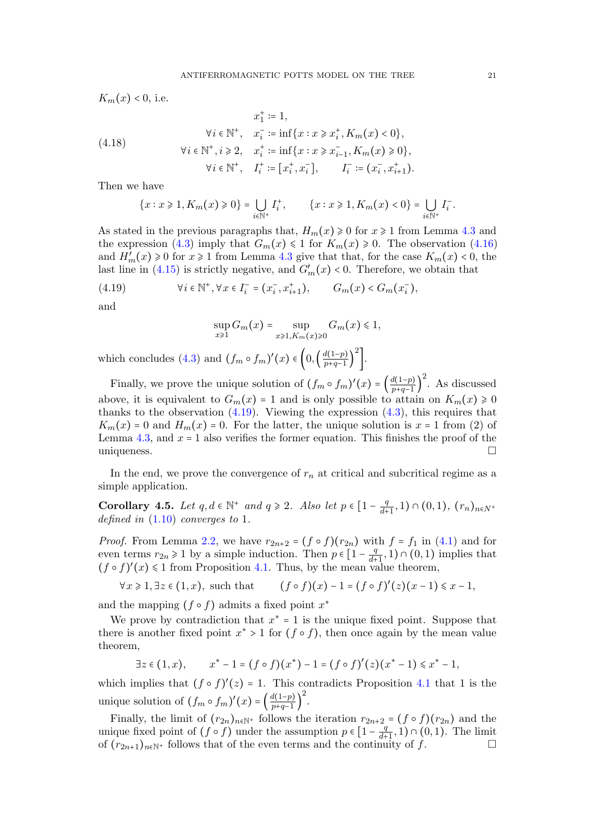$K_m(x) < 0$ , i.e.

(4.18) 
$$
x_1^+ := 1,
$$

$$
\forall i \in \mathbb{N}^+, \quad x_i^- := \inf\{x : x \ge x_i^+, K_m(x) < 0\},
$$

$$
\forall i \in \mathbb{N}^+, i \ge 2, \quad x_i^+ := \inf\{x : x \ge x_{i-1}^-, K_m(x) \ge 0\},
$$

$$
\forall i \in \mathbb{N}^+, \quad I_i^+ := [x_i^+, x_i^-], \qquad I_i^- := (x_i^-, x_{i+1}^+).
$$

Then we have

$$
\{x : x \ge 1, K_m(x) \ge 0\} = \bigcup_{i \in \mathbb{N}^+} I_i^+, \qquad \{x : x \ge 1, K_m(x) < 0\} = \bigcup_{i \in \mathbb{N}^+} I_i^-.
$$

As stated in the previous paragraphs that,  $H_m(x) \geq 0$  for  $x \geq 1$  from Lemma [4.3](#page-0-2) and the expression [\(4.3\)](#page-16-1) imply that  $G_m(x) \leq 1$  for  $K_m(x) \geq 0$ . The observation [\(4.16\)](#page-19-0) and  $H'_m(x) \ge 0$  for  $x \ge 1$  from Lemma [4.3](#page-0-2) give that that, for the case  $K_m(x) < 0$ , the last line in [\(4.15\)](#page-19-1) is strictly negative, and  $G'_{m}(x) < 0$ . Therefore, we obtain that

<span id="page-20-1"></span>(4.19) 
$$
\forall i \in \mathbb{N}^+, \forall x \in I_i^- = (x_i^-, x_{i+1}^+), \qquad G_m(x) < G_m(x_i^-),
$$

and

$$
\sup_{x\geq 1} G_m(x) = \sup_{x\geq 1, K_m(x)\geq 0} G_m(x) \leq 1,
$$

which concludes [\(4.3\)](#page-16-1) and  $(f_m \circ f_m)'(x) \in \left(0, \left(\frac{d(1-p)}{p+q-1}\right)\right)$  $p+q-1$  ) 2 ].

Finally, we prove the unique solution of  $(f_m \circ f_m)'(x) = \left(\frac{d(1-p)}{p+q-1}\right)^{p-1}$  $\frac{p+q-1}{p+q-1}$ 2 . As discussed above, it is equivalent to  $G_m(x) = 1$  and is only possible to attain on  $K_m(x) \ge 0$ thanks to the observation  $(4.19)$ . Viewing the expression  $(4.3)$ , this requires that  $K_m(x) = 0$  and  $H_m(x) = 0$ . For the latter, the unique solution is  $x = 1$  from (2) of Lemma [4.3,](#page-0-2) and  $x = 1$  also verifies the former equation. This finishes the proof of the uniqueness uniqueness.

In the end, we prove the convergence of  $r_n$  at critical and subcritical regime as a simple application.

<span id="page-20-0"></span>**Corollary 4.5.** Let  $q, d \in \mathbb{N}^+$  and  $q \ge 2$ . Also let  $p \in \left[1 - \frac{q}{d+1}\right]$  $\frac{q}{d+1}, 1) \cap (0,1), (r_n)_{n \in N^+}$ defined in [\(1.10\)](#page-2-4) converges to 1.

*Proof.* From Lemma [2.2,](#page-5-0) we have  $r_{2n+2} = (f \circ f)(r_{2n})$  with  $f = f_1$  in [\(4.1\)](#page-15-1) and for even terms  $r_{2n} \geq 1$  by a simple induction. Then  $p \in \left[1 - \frac{q}{d+1}\right]$  $\frac{q}{d+1}, 1) \cap (0,1)$  implies that  $(f \circ f)'(x) \leq 1$  from Proposition [4.1.](#page-15-0) Thus, by the mean value theorem,

$$
\forall x \geqslant 1, \exists z \in (1, x), \text{ such that } \qquad (f \circ f)(x) - 1 = (f \circ f)'(z)(x - 1) \leqslant x - 1,
$$

and the mapping  $(f \circ f)$  admits a fixed point  $x^*$ 

We prove by contradiction that  $x^* = 1$  is the unique fixed point. Suppose that there is another fixed point  $x^* > 1$  for  $(f \circ f)$ , then once again by the mean value theorem,

$$
\exists z \in (1, x), \qquad x^* - 1 = (f \circ f)(x^*) - 1 = (f \circ f)'(z)(x^* - 1) \leq x^* - 1,
$$

which implies that  $(f \circ f)'(z) = 1$ . This contradicts Proposition [4.1](#page-15-0) that 1 is the unique solution of  $(f_m \circ f_m)'(x) = \left(\frac{d(1-p)}{p+q-1}\right)$  $p+q-1$  ) 2 .

Finally, the limit of  $(r_{2n})_{n\in\mathbb{N}^+}$  follows the iteration  $r_{2n+2} = (f \circ f)(r_{2n})$  and the unique fixed point of  $(f \circ f)$  under the assumption  $p \in \left[1 - \frac{q}{d}\right]$  $\frac{q}{d+1}, 1) \cap (0,1)$ . The limit of  $(r_{2n+1})_{n\in\mathbb{N}^+}$  follows that of the even terms and the continuity of f.